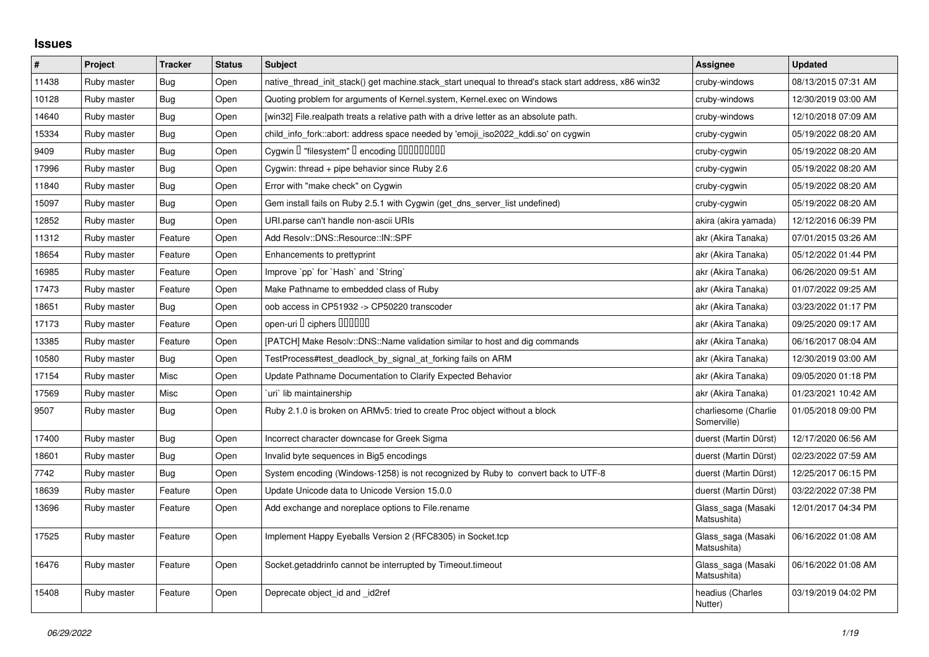## **Issues**

| $\pmb{\#}$ | Project     | <b>Tracker</b> | <b>Status</b> | <b>Subject</b>                                                                                        | Assignee                            | <b>Updated</b>      |
|------------|-------------|----------------|---------------|-------------------------------------------------------------------------------------------------------|-------------------------------------|---------------------|
| 11438      | Ruby master | Bug            | Open          | native thread init stack() get machine stack start unequal to thread's stack start address, x86 win32 | cruby-windows                       | 08/13/2015 07:31 AM |
| 10128      | Ruby master | Bug            | Open          | Quoting problem for arguments of Kernel.system, Kernel.exec on Windows                                | cruby-windows                       | 12/30/2019 03:00 AM |
| 14640      | Ruby master | <b>Bug</b>     | Open          | [win32] File.realpath treats a relative path with a drive letter as an absolute path.                 | cruby-windows                       | 12/10/2018 07:09 AM |
| 15334      | Ruby master | <b>Bug</b>     | Open          | child_info_fork::abort: address space needed by 'emoji_iso2022_kddi.so' on cygwin                     | cruby-cygwin                        | 05/19/2022 08:20 AM |
| 9409       | Ruby master | Bug            | Open          | Cygwin I "filesystem" I encoding IIIIIIIIIIIII                                                        | cruby-cygwin                        | 05/19/2022 08:20 AM |
| 17996      | Ruby master | Bug            | Open          | Cygwin: thread + pipe behavior since Ruby 2.6                                                         | cruby-cygwin                        | 05/19/2022 08:20 AM |
| 11840      | Ruby master | Bug            | Open          | Error with "make check" on Cygwin                                                                     | cruby-cygwin                        | 05/19/2022 08:20 AM |
| 15097      | Ruby master | <b>Bug</b>     | Open          | Gem install fails on Ruby 2.5.1 with Cygwin (get_dns_server_list undefined)                           | cruby-cygwin                        | 05/19/2022 08:20 AM |
| 12852      | Ruby master | Bug            | Open          | URI.parse can't handle non-ascii URIs                                                                 | akira (akira yamada)                | 12/12/2016 06:39 PM |
| 11312      | Ruby master | Feature        | Open          | Add Resolv::DNS::Resource::IN::SPF                                                                    | akr (Akira Tanaka)                  | 07/01/2015 03:26 AM |
| 18654      | Ruby master | Feature        | Open          | Enhancements to prettyprint                                                                           | akr (Akira Tanaka)                  | 05/12/2022 01:44 PM |
| 16985      | Ruby master | Feature        | Open          | Improve `pp` for `Hash` and `String`                                                                  | akr (Akira Tanaka)                  | 06/26/2020 09:51 AM |
| 17473      | Ruby master | Feature        | Open          | Make Pathname to embedded class of Ruby                                                               | akr (Akira Tanaka)                  | 01/07/2022 09:25 AM |
| 18651      | Ruby master | <b>Bug</b>     | Open          | oob access in CP51932 -> CP50220 transcoder                                                           | akr (Akira Tanaka)                  | 03/23/2022 01:17 PM |
| 17173      | Ruby master | Feature        | Open          | open-uri I ciphers IIIIIII                                                                            | akr (Akira Tanaka)                  | 09/25/2020 09:17 AM |
| 13385      | Ruby master | Feature        | Open          | [PATCH] Make Resolv::DNS::Name validation similar to host and dig commands                            | akr (Akira Tanaka)                  | 06/16/2017 08:04 AM |
| 10580      | Ruby master | Bug            | Open          | TestProcess#test_deadlock_by_signal_at_forking fails on ARM                                           | akr (Akira Tanaka)                  | 12/30/2019 03:00 AM |
| 17154      | Ruby master | Misc           | Open          | Update Pathname Documentation to Clarify Expected Behavior                                            | akr (Akira Tanaka)                  | 09/05/2020 01:18 PM |
| 17569      | Ruby master | Misc           | Open          | uri lib maintainership                                                                                | akr (Akira Tanaka)                  | 01/23/2021 10:42 AM |
| 9507       | Ruby master | Bug            | Open          | Ruby 2.1.0 is broken on ARMv5: tried to create Proc object without a block                            | charliesome (Charlie<br>Somerville) | 01/05/2018 09:00 PM |
| 17400      | Ruby master | Bug            | Open          | Incorrect character downcase for Greek Sigma                                                          | duerst (Martin Dürst)               | 12/17/2020 06:56 AM |
| 18601      | Ruby master | Bug            | Open          | Invalid byte sequences in Big5 encodings                                                              | duerst (Martin Dürst)               | 02/23/2022 07:59 AM |
| 7742       | Ruby master | <b>Bug</b>     | Open          | System encoding (Windows-1258) is not recognized by Ruby to convert back to UTF-8                     | duerst (Martin Dürst)               | 12/25/2017 06:15 PM |
| 18639      | Ruby master | Feature        | Open          | Update Unicode data to Unicode Version 15.0.0                                                         | duerst (Martin Dürst)               | 03/22/2022 07:38 PM |
| 13696      | Ruby master | Feature        | Open          | Add exchange and noreplace options to File.rename                                                     | Glass_saga (Masaki<br>Matsushita)   | 12/01/2017 04:34 PM |
| 17525      | Ruby master | Feature        | Open          | Implement Happy Eyeballs Version 2 (RFC8305) in Socket.tcp                                            | Glass_saga (Masaki<br>Matsushita)   | 06/16/2022 01:08 AM |
| 16476      | Ruby master | Feature        | Open          | Socket.getaddrinfo cannot be interrupted by Timeout.timeout                                           | Glass_saga (Masaki<br>Matsushita)   | 06/16/2022 01:08 AM |
| 15408      | Ruby master | Feature        | Open          | Deprecate object_id and _id2ref                                                                       | headius (Charles<br>Nutter)         | 03/19/2019 04:02 PM |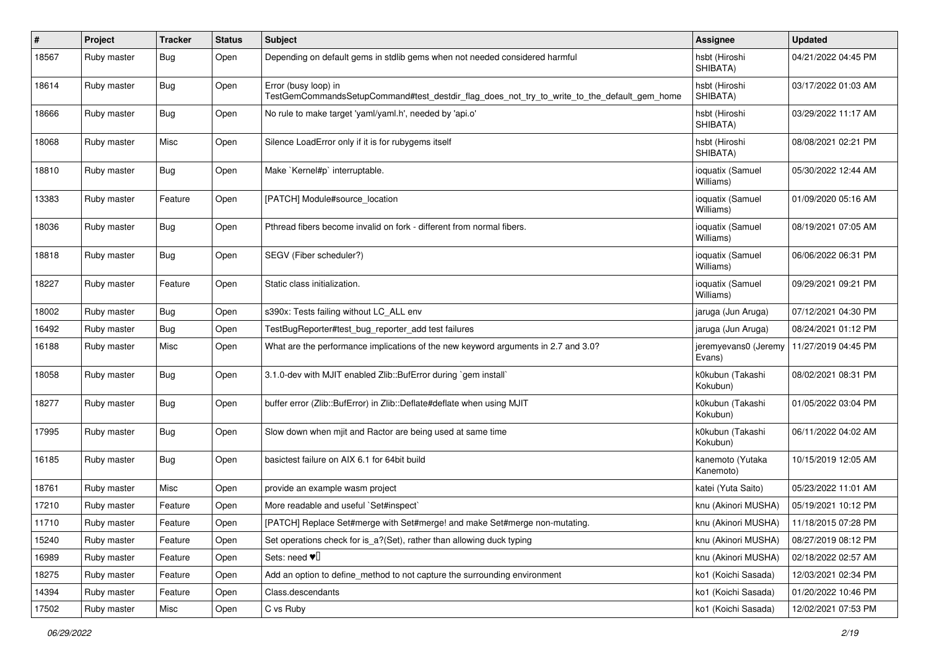| $\#$  | Project     | <b>Tracker</b> | <b>Status</b> | Subject                                                                                                             | <b>Assignee</b>                | <b>Updated</b>      |
|-------|-------------|----------------|---------------|---------------------------------------------------------------------------------------------------------------------|--------------------------------|---------------------|
| 18567 | Ruby master | Bug            | Open          | Depending on default gems in stdlib gems when not needed considered harmful                                         | hsbt (Hiroshi<br>SHIBATA)      | 04/21/2022 04:45 PM |
| 18614 | Ruby master | <b>Bug</b>     | Open          | Error (busy loop) in<br>TestGemCommandsSetupCommand#test_destdir_flag_does_not_try_to_write_to_the_default_gem_home | hsbt (Hiroshi<br>SHIBATA)      | 03/17/2022 01:03 AM |
| 18666 | Ruby master | Bug            | Open          | No rule to make target 'yaml/yaml.h', needed by 'api.o'                                                             | hsbt (Hiroshi<br>SHIBATA)      | 03/29/2022 11:17 AM |
| 18068 | Ruby master | Misc           | Open          | Silence LoadError only if it is for rubygems itself                                                                 | hsbt (Hiroshi<br>SHIBATA)      | 08/08/2021 02:21 PM |
| 18810 | Ruby master | Bug            | Open          | Make `Kernel#p` interruptable.                                                                                      | ioquatix (Samuel<br>Williams)  | 05/30/2022 12:44 AM |
| 13383 | Ruby master | Feature        | Open          | [PATCH] Module#source_location                                                                                      | ioquatix (Samuel<br>Williams)  | 01/09/2020 05:16 AM |
| 18036 | Ruby master | Bug            | Open          | Pthread fibers become invalid on fork - different from normal fibers.                                               | ioquatix (Samuel<br>Williams)  | 08/19/2021 07:05 AM |
| 18818 | Ruby master | Bug            | Open          | SEGV (Fiber scheduler?)                                                                                             | ioquatix (Samuel<br>Williams)  | 06/06/2022 06:31 PM |
| 18227 | Ruby master | Feature        | Open          | Static class initialization.                                                                                        | ioquatix (Samuel<br>Williams)  | 09/29/2021 09:21 PM |
| 18002 | Ruby master | Bug            | Open          | s390x: Tests failing without LC_ALL env                                                                             | jaruga (Jun Aruga)             | 07/12/2021 04:30 PM |
| 16492 | Ruby master | <b>Bug</b>     | Open          | TestBugReporter#test_bug_reporter_add test failures                                                                 | jaruga (Jun Aruga)             | 08/24/2021 01:12 PM |
| 16188 | Ruby master | Misc           | Open          | What are the performance implications of the new keyword arguments in 2.7 and 3.0?                                  | jeremyevans0 (Jeremy<br>Evans) | 11/27/2019 04:45 PM |
| 18058 | Ruby master | Bug            | Open          | 3.1.0-dev with MJIT enabled Zlib::BufError during `gem install`                                                     | k0kubun (Takashi<br>Kokubun)   | 08/02/2021 08:31 PM |
| 18277 | Ruby master | Bug            | Open          | buffer error (Zlib::BufError) in Zlib::Deflate#deflate when using MJIT                                              | k0kubun (Takashi<br>Kokubun)   | 01/05/2022 03:04 PM |
| 17995 | Ruby master | Bug            | Open          | Slow down when mjit and Ractor are being used at same time                                                          | k0kubun (Takashi<br>Kokubun)   | 06/11/2022 04:02 AM |
| 16185 | Ruby master | Bug            | Open          | basictest failure on AIX 6.1 for 64bit build                                                                        | kanemoto (Yutaka<br>Kanemoto)  | 10/15/2019 12:05 AM |
| 18761 | Ruby master | Misc           | Open          | provide an example wasm project                                                                                     | katei (Yuta Saito)             | 05/23/2022 11:01 AM |
| 17210 | Ruby master | Feature        | Open          | More readable and useful `Set#inspect`                                                                              | knu (Akinori MUSHA)            | 05/19/2021 10:12 PM |
| 11710 | Ruby master | Feature        | Open          | [PATCH] Replace Set#merge with Set#merge! and make Set#merge non-mutating.                                          | knu (Akinori MUSHA)            | 11/18/2015 07:28 PM |
| 15240 | Ruby master | Feature        | Open          | Set operations check for is_a?(Set), rather than allowing duck typing                                               | knu (Akinori MUSHA)            | 08/27/2019 08:12 PM |
| 16989 | Ruby master | Feature        | Open          | Sets: need $\Psi$ <sup><math>\Box</math></sup>                                                                      | knu (Akinori MUSHA)            | 02/18/2022 02:57 AM |
| 18275 | Ruby master | Feature        | Open          | Add an option to define method to not capture the surrounding environment                                           | ko1 (Koichi Sasada)            | 12/03/2021 02:34 PM |
| 14394 | Ruby master | Feature        | Open          | Class.descendants                                                                                                   | ko1 (Koichi Sasada)            | 01/20/2022 10:46 PM |
| 17502 | Ruby master | Misc           | Open          | C vs Ruby                                                                                                           | ko1 (Koichi Sasada)            | 12/02/2021 07:53 PM |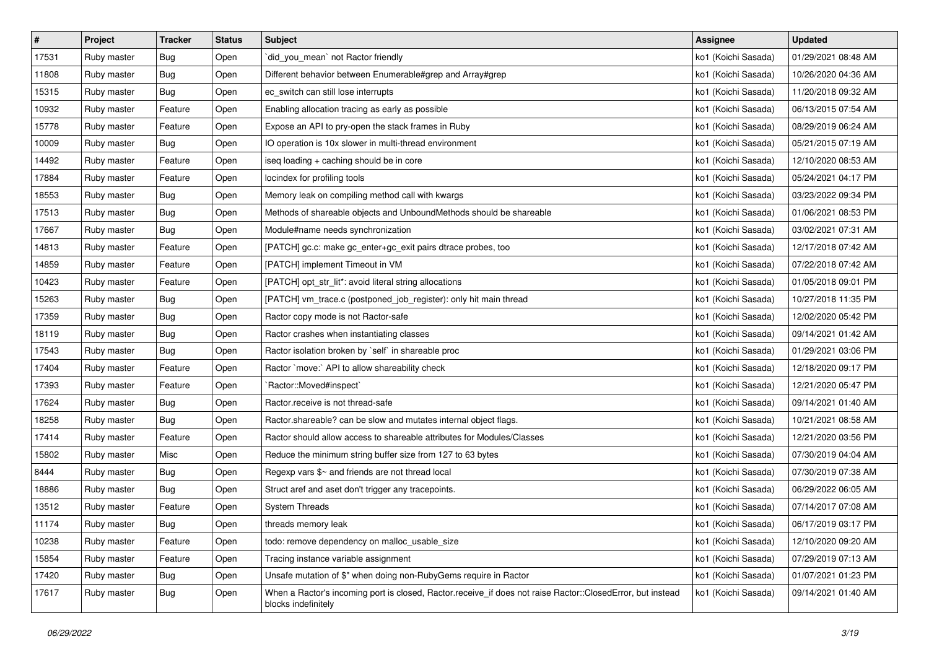| #     | Project     | <b>Tracker</b>   | <b>Status</b> | <b>Subject</b>                                                                                                                    | <b>Assignee</b>     | <b>Updated</b>      |
|-------|-------------|------------------|---------------|-----------------------------------------------------------------------------------------------------------------------------------|---------------------|---------------------|
| 17531 | Ruby master | Bug              | Open          | did you mean' not Ractor friendly                                                                                                 | ko1 (Koichi Sasada) | 01/29/2021 08:48 AM |
| 11808 | Ruby master | Bug              | Open          | Different behavior between Enumerable#grep and Array#grep                                                                         | ko1 (Koichi Sasada) | 10/26/2020 04:36 AM |
| 15315 | Ruby master | Bug              | Open          | ec_switch can still lose interrupts                                                                                               | ko1 (Koichi Sasada) | 11/20/2018 09:32 AM |
| 10932 | Ruby master | Feature          | Open          | Enabling allocation tracing as early as possible                                                                                  | ko1 (Koichi Sasada) | 06/13/2015 07:54 AM |
| 15778 | Ruby master | Feature          | Open          | Expose an API to pry-open the stack frames in Ruby                                                                                | ko1 (Koichi Sasada) | 08/29/2019 06:24 AM |
| 10009 | Ruby master | <b>Bug</b>       | Open          | IO operation is 10x slower in multi-thread environment                                                                            | ko1 (Koichi Sasada) | 05/21/2015 07:19 AM |
| 14492 | Ruby master | Feature          | Open          | iseq loading + caching should be in core                                                                                          | ko1 (Koichi Sasada) | 12/10/2020 08:53 AM |
| 17884 | Ruby master | Feature          | Open          | locindex for profiling tools                                                                                                      | ko1 (Koichi Sasada) | 05/24/2021 04:17 PM |
| 18553 | Ruby master | <b>Bug</b>       | Open          | Memory leak on compiling method call with kwargs                                                                                  | ko1 (Koichi Sasada) | 03/23/2022 09:34 PM |
| 17513 | Ruby master | <b>Bug</b>       | Open          | Methods of shareable objects and UnboundMethods should be shareable                                                               | ko1 (Koichi Sasada) | 01/06/2021 08:53 PM |
| 17667 | Ruby master | <b>Bug</b>       | Open          | Module#name needs synchronization                                                                                                 | ko1 (Koichi Sasada) | 03/02/2021 07:31 AM |
| 14813 | Ruby master | Feature          | Open          | [PATCH] gc.c: make gc_enter+gc_exit pairs dtrace probes, too                                                                      | ko1 (Koichi Sasada) | 12/17/2018 07:42 AM |
| 14859 | Ruby master | Feature          | Open          | [PATCH] implement Timeout in VM                                                                                                   | ko1 (Koichi Sasada) | 07/22/2018 07:42 AM |
| 10423 | Ruby master | Feature          | Open          | [PATCH] opt_str_lit*: avoid literal string allocations                                                                            | ko1 (Koichi Sasada) | 01/05/2018 09:01 PM |
| 15263 | Ruby master | <b>Bug</b>       | Open          | [PATCH] vm_trace.c (postponed_job_register): only hit main thread                                                                 | ko1 (Koichi Sasada) | 10/27/2018 11:35 PM |
| 17359 | Ruby master | <b>Bug</b>       | Open          | Ractor copy mode is not Ractor-safe                                                                                               | ko1 (Koichi Sasada) | 12/02/2020 05:42 PM |
| 18119 | Ruby master | <b>Bug</b>       | Open          | Ractor crashes when instantiating classes                                                                                         | ko1 (Koichi Sasada) | 09/14/2021 01:42 AM |
| 17543 | Ruby master | Bug              | Open          | Ractor isolation broken by `self` in shareable proc                                                                               | ko1 (Koichi Sasada) | 01/29/2021 03:06 PM |
| 17404 | Ruby master | Feature          | Open          | Ractor `move:` API to allow shareability check                                                                                    | ko1 (Koichi Sasada) | 12/18/2020 09:17 PM |
| 17393 | Ruby master | Feature          | Open          | `Ractor::Moved#inspect`                                                                                                           | ko1 (Koichi Sasada) | 12/21/2020 05:47 PM |
| 17624 | Ruby master | Bug              | Open          | Ractor.receive is not thread-safe                                                                                                 | ko1 (Koichi Sasada) | 09/14/2021 01:40 AM |
| 18258 | Ruby master | <b>Bug</b>       | Open          | Ractor shareable? can be slow and mutates internal object flags.                                                                  | ko1 (Koichi Sasada) | 10/21/2021 08:58 AM |
| 17414 | Ruby master | Feature          | Open          | Ractor should allow access to shareable attributes for Modules/Classes                                                            | ko1 (Koichi Sasada) | 12/21/2020 03:56 PM |
| 15802 | Ruby master | Misc             | Open          | Reduce the minimum string buffer size from 127 to 63 bytes                                                                        | ko1 (Koichi Sasada) | 07/30/2019 04:04 AM |
| 8444  | Ruby master | <b>Bug</b>       | Open          | Regexp vars \$~ and friends are not thread local                                                                                  | ko1 (Koichi Sasada) | 07/30/2019 07:38 AM |
| 18886 | Ruby master | <b>Bug</b>       | Open          | Struct aref and aset don't trigger any tracepoints.                                                                               | ko1 (Koichi Sasada) | 06/29/2022 06:05 AM |
| 13512 | Ruby master | Feature          | Open          | <b>System Threads</b>                                                                                                             | ko1 (Koichi Sasada) | 07/14/2017 07:08 AM |
| 11174 | Ruby master | <sub>i</sub> Bug | Open          | threads memory leak                                                                                                               | ko1 (Koichi Sasada) | 06/17/2019 03:17 PM |
| 10238 | Ruby master | Feature          | Open          | todo: remove dependency on malloc_usable_size                                                                                     | ko1 (Koichi Sasada) | 12/10/2020 09:20 AM |
| 15854 | Ruby master | Feature          | Open          | Tracing instance variable assignment                                                                                              | ko1 (Koichi Sasada) | 07/29/2019 07:13 AM |
| 17420 | Ruby master | Bug              | Open          | Unsafe mutation of \$" when doing non-RubyGems require in Ractor                                                                  | ko1 (Koichi Sasada) | 01/07/2021 01:23 PM |
| 17617 | Ruby master | Bug              | Open          | When a Ractor's incoming port is closed, Ractor.receive if does not raise Ractor::ClosedError, but instead<br>blocks indefinitely | ko1 (Koichi Sasada) | 09/14/2021 01:40 AM |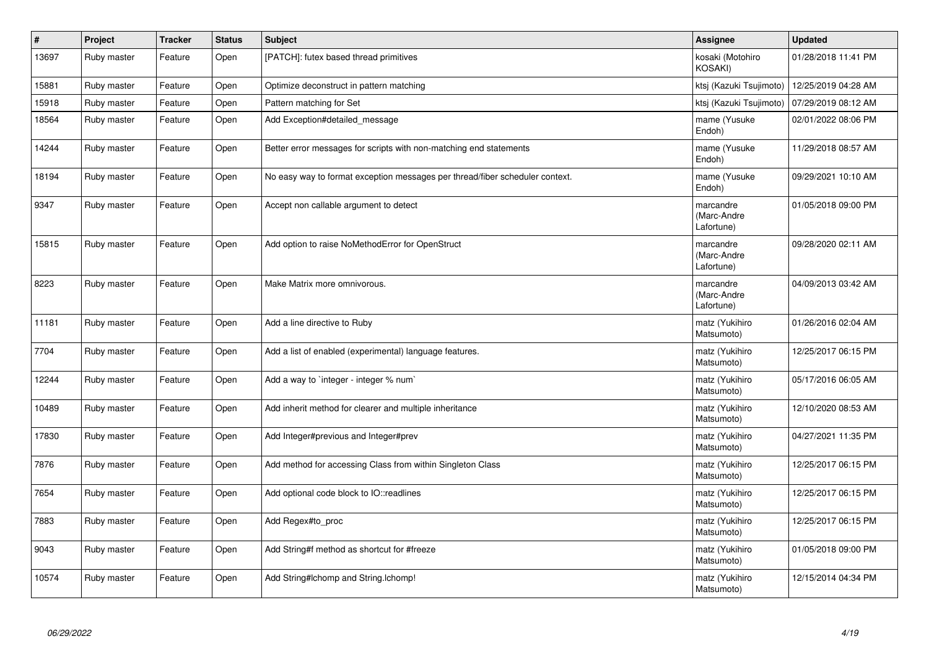| $\#$  | Project     | <b>Tracker</b> | <b>Status</b> | <b>Subject</b>                                                               | Assignee                               | <b>Updated</b>      |
|-------|-------------|----------------|---------------|------------------------------------------------------------------------------|----------------------------------------|---------------------|
| 13697 | Ruby master | Feature        | Open          | [PATCH]: futex based thread primitives                                       | kosaki (Motohiro<br>KOSAKI)            | 01/28/2018 11:41 PM |
| 15881 | Ruby master | Feature        | Open          | Optimize deconstruct in pattern matching                                     | ktsj (Kazuki Tsujimoto)                | 12/25/2019 04:28 AM |
| 15918 | Ruby master | Feature        | Open          | Pattern matching for Set                                                     | ktsj (Kazuki Tsujimoto)                | 07/29/2019 08:12 AM |
| 18564 | Ruby master | Feature        | Open          | Add Exception#detailed message                                               | mame (Yusuke<br>Endoh)                 | 02/01/2022 08:06 PM |
| 14244 | Ruby master | Feature        | Open          | Better error messages for scripts with non-matching end statements           | mame (Yusuke<br>Endoh)                 | 11/29/2018 08:57 AM |
| 18194 | Ruby master | Feature        | Open          | No easy way to format exception messages per thread/fiber scheduler context. | mame (Yusuke<br>Endoh)                 | 09/29/2021 10:10 AM |
| 9347  | Ruby master | Feature        | Open          | Accept non callable argument to detect                                       | marcandre<br>(Marc-Andre<br>Lafortune) | 01/05/2018 09:00 PM |
| 15815 | Ruby master | Feature        | Open          | Add option to raise NoMethodError for OpenStruct                             | marcandre<br>(Marc-Andre<br>Lafortune) | 09/28/2020 02:11 AM |
| 8223  | Ruby master | Feature        | Open          | Make Matrix more omnivorous.                                                 | marcandre<br>(Marc-Andre<br>Lafortune) | 04/09/2013 03:42 AM |
| 11181 | Ruby master | Feature        | Open          | Add a line directive to Ruby                                                 | matz (Yukihiro<br>Matsumoto)           | 01/26/2016 02:04 AM |
| 7704  | Ruby master | Feature        | Open          | Add a list of enabled (experimental) language features.                      | matz (Yukihiro<br>Matsumoto)           | 12/25/2017 06:15 PM |
| 12244 | Ruby master | Feature        | Open          | Add a way to `integer - integer % num`                                       | matz (Yukihiro<br>Matsumoto)           | 05/17/2016 06:05 AM |
| 10489 | Ruby master | Feature        | Open          | Add inherit method for clearer and multiple inheritance                      | matz (Yukihiro<br>Matsumoto)           | 12/10/2020 08:53 AM |
| 17830 | Ruby master | Feature        | Open          | Add Integer#previous and Integer#prev                                        | matz (Yukihiro<br>Matsumoto)           | 04/27/2021 11:35 PM |
| 7876  | Ruby master | Feature        | Open          | Add method for accessing Class from within Singleton Class                   | matz (Yukihiro<br>Matsumoto)           | 12/25/2017 06:15 PM |
| 7654  | Ruby master | Feature        | Open          | Add optional code block to IO::readlines                                     | matz (Yukihiro<br>Matsumoto)           | 12/25/2017 06:15 PM |
| 7883  | Ruby master | Feature        | Open          | Add Regex#to_proc                                                            | matz (Yukihiro<br>Matsumoto)           | 12/25/2017 06:15 PM |
| 9043  | Ruby master | Feature        | Open          | Add String#f method as shortcut for #freeze                                  | matz (Yukihiro<br>Matsumoto)           | 01/05/2018 09:00 PM |
| 10574 | Ruby master | Feature        | Open          | Add String#Ichomp and String.Ichomp!                                         | matz (Yukihiro<br>Matsumoto)           | 12/15/2014 04:34 PM |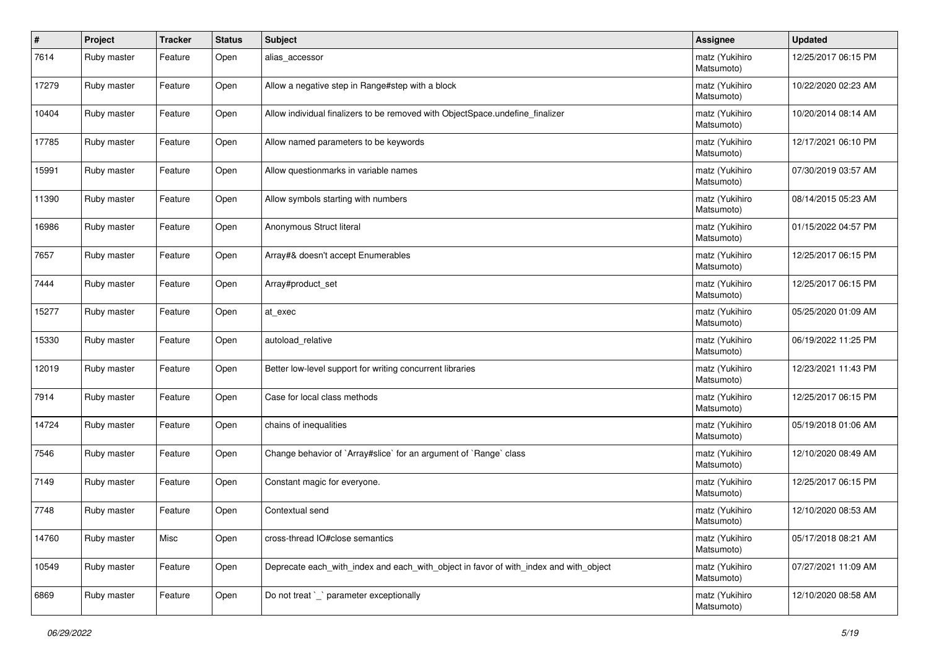| #     | Project     | <b>Tracker</b> | <b>Status</b> | Subject                                                                               | <b>Assignee</b>              | <b>Updated</b>      |
|-------|-------------|----------------|---------------|---------------------------------------------------------------------------------------|------------------------------|---------------------|
| 7614  | Ruby master | Feature        | Open          | alias accessor                                                                        | matz (Yukihiro<br>Matsumoto) | 12/25/2017 06:15 PM |
| 17279 | Ruby master | Feature        | Open          | Allow a negative step in Range#step with a block                                      | matz (Yukihiro<br>Matsumoto) | 10/22/2020 02:23 AM |
| 10404 | Ruby master | Feature        | Open          | Allow individual finalizers to be removed with ObjectSpace.undefine_finalizer         | matz (Yukihiro<br>Matsumoto) | 10/20/2014 08:14 AM |
| 17785 | Ruby master | Feature        | Open          | Allow named parameters to be keywords                                                 | matz (Yukihiro<br>Matsumoto) | 12/17/2021 06:10 PM |
| 15991 | Ruby master | Feature        | Open          | Allow questionmarks in variable names                                                 | matz (Yukihiro<br>Matsumoto) | 07/30/2019 03:57 AM |
| 11390 | Ruby master | Feature        | Open          | Allow symbols starting with numbers                                                   | matz (Yukihiro<br>Matsumoto) | 08/14/2015 05:23 AM |
| 16986 | Ruby master | Feature        | Open          | Anonymous Struct literal                                                              | matz (Yukihiro<br>Matsumoto) | 01/15/2022 04:57 PM |
| 7657  | Ruby master | Feature        | Open          | Array#& doesn't accept Enumerables                                                    | matz (Yukihiro<br>Matsumoto) | 12/25/2017 06:15 PM |
| 7444  | Ruby master | Feature        | Open          | Array#product_set                                                                     | matz (Yukihiro<br>Matsumoto) | 12/25/2017 06:15 PM |
| 15277 | Ruby master | Feature        | Open          | at exec                                                                               | matz (Yukihiro<br>Matsumoto) | 05/25/2020 01:09 AM |
| 15330 | Ruby master | Feature        | Open          | autoload relative                                                                     | matz (Yukihiro<br>Matsumoto) | 06/19/2022 11:25 PM |
| 12019 | Ruby master | Feature        | Open          | Better low-level support for writing concurrent libraries                             | matz (Yukihiro<br>Matsumoto) | 12/23/2021 11:43 PM |
| 7914  | Ruby master | Feature        | Open          | Case for local class methods                                                          | matz (Yukihiro<br>Matsumoto) | 12/25/2017 06:15 PM |
| 14724 | Ruby master | Feature        | Open          | chains of inequalities                                                                | matz (Yukihiro<br>Matsumoto) | 05/19/2018 01:06 AM |
| 7546  | Ruby master | Feature        | Open          | Change behavior of `Array#slice` for an argument of `Range` class                     | matz (Yukihiro<br>Matsumoto) | 12/10/2020 08:49 AM |
| 7149  | Ruby master | Feature        | Open          | Constant magic for everyone.                                                          | matz (Yukihiro<br>Matsumoto) | 12/25/2017 06:15 PM |
| 7748  | Ruby master | Feature        | Open          | Contextual send                                                                       | matz (Yukihiro<br>Matsumoto) | 12/10/2020 08:53 AM |
| 14760 | Ruby master | Misc           | Open          | cross-thread IO#close semantics                                                       | matz (Yukihiro<br>Matsumoto) | 05/17/2018 08:21 AM |
| 10549 | Ruby master | Feature        | Open          | Deprecate each_with_index and each_with_object in favor of with_index and with_object | matz (Yukihiro<br>Matsumoto) | 07/27/2021 11:09 AM |
| 6869  | Ruby master | Feature        | Open          | Do not treat `_` parameter exceptionally                                              | matz (Yukihiro<br>Matsumoto) | 12/10/2020 08:58 AM |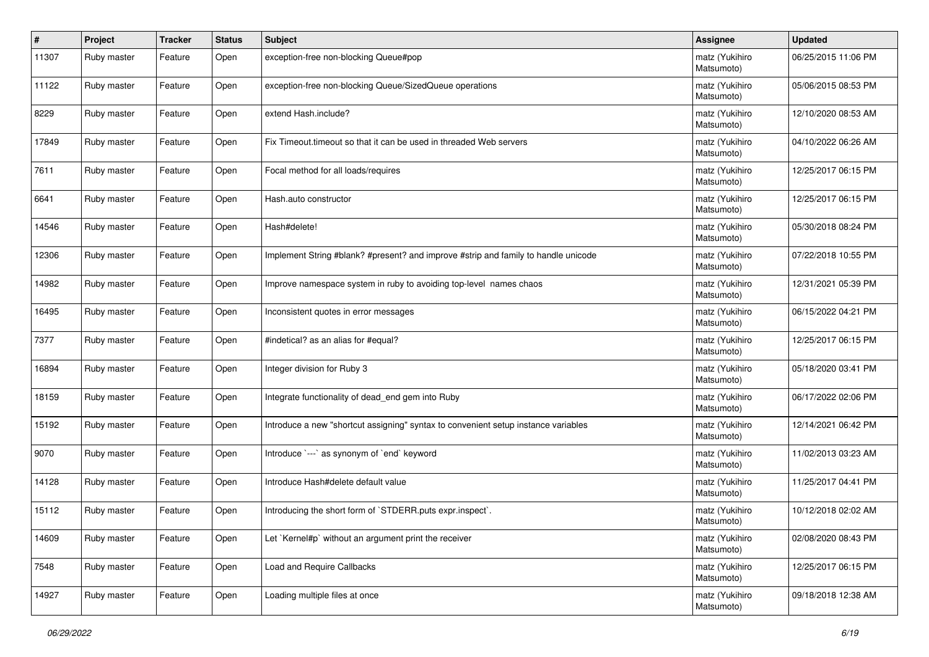| $\vert$ # | Project     | <b>Tracker</b> | <b>Status</b> | <b>Subject</b>                                                                     | <b>Assignee</b>              | <b>Updated</b>      |
|-----------|-------------|----------------|---------------|------------------------------------------------------------------------------------|------------------------------|---------------------|
| 11307     | Ruby master | Feature        | Open          | exception-free non-blocking Queue#pop                                              | matz (Yukihiro<br>Matsumoto) | 06/25/2015 11:06 PM |
| 11122     | Ruby master | Feature        | Open          | exception-free non-blocking Queue/SizedQueue operations                            | matz (Yukihiro<br>Matsumoto) | 05/06/2015 08:53 PM |
| 8229      | Ruby master | Feature        | Open          | extend Hash.include?                                                               | matz (Yukihiro<br>Matsumoto) | 12/10/2020 08:53 AM |
| 17849     | Ruby master | Feature        | Open          | Fix Timeout timeout so that it can be used in threaded Web servers                 | matz (Yukihiro<br>Matsumoto) | 04/10/2022 06:26 AM |
| 7611      | Ruby master | Feature        | Open          | Focal method for all loads/requires                                                | matz (Yukihiro<br>Matsumoto) | 12/25/2017 06:15 PM |
| 6641      | Ruby master | Feature        | Open          | Hash.auto constructor                                                              | matz (Yukihiro<br>Matsumoto) | 12/25/2017 06:15 PM |
| 14546     | Ruby master | Feature        | Open          | Hash#delete!                                                                       | matz (Yukihiro<br>Matsumoto) | 05/30/2018 08:24 PM |
| 12306     | Ruby master | Feature        | Open          | Implement String #blank? #present? and improve #strip and family to handle unicode | matz (Yukihiro<br>Matsumoto) | 07/22/2018 10:55 PM |
| 14982     | Ruby master | Feature        | Open          | Improve namespace system in ruby to avoiding top-level names chaos                 | matz (Yukihiro<br>Matsumoto) | 12/31/2021 05:39 PM |
| 16495     | Ruby master | Feature        | Open          | Inconsistent quotes in error messages                                              | matz (Yukihiro<br>Matsumoto) | 06/15/2022 04:21 PM |
| 7377      | Ruby master | Feature        | Open          | #indetical? as an alias for #equal?                                                | matz (Yukihiro<br>Matsumoto) | 12/25/2017 06:15 PM |
| 16894     | Ruby master | Feature        | Open          | Integer division for Ruby 3                                                        | matz (Yukihiro<br>Matsumoto) | 05/18/2020 03:41 PM |
| 18159     | Ruby master | Feature        | Open          | Integrate functionality of dead_end gem into Ruby                                  | matz (Yukihiro<br>Matsumoto) | 06/17/2022 02:06 PM |
| 15192     | Ruby master | Feature        | Open          | Introduce a new "shortcut assigning" syntax to convenient setup instance variables | matz (Yukihiro<br>Matsumoto) | 12/14/2021 06:42 PM |
| 9070      | Ruby master | Feature        | Open          | Introduce `---` as synonym of `end` keyword                                        | matz (Yukihiro<br>Matsumoto) | 11/02/2013 03:23 AM |
| 14128     | Ruby master | Feature        | Open          | Introduce Hash#delete default value                                                | matz (Yukihiro<br>Matsumoto) | 11/25/2017 04:41 PM |
| 15112     | Ruby master | Feature        | Open          | Introducing the short form of `STDERR.puts expr.inspect`.                          | matz (Yukihiro<br>Matsumoto) | 10/12/2018 02:02 AM |
| 14609     | Ruby master | Feature        | Open          | Let `Kernel#p` without an argument print the receiver                              | matz (Yukihiro<br>Matsumoto) | 02/08/2020 08:43 PM |
| 7548      | Ruby master | Feature        | Open          | Load and Require Callbacks                                                         | matz (Yukihiro<br>Matsumoto) | 12/25/2017 06:15 PM |
| 14927     | Ruby master | Feature        | Open          | Loading multiple files at once                                                     | matz (Yukihiro<br>Matsumoto) | 09/18/2018 12:38 AM |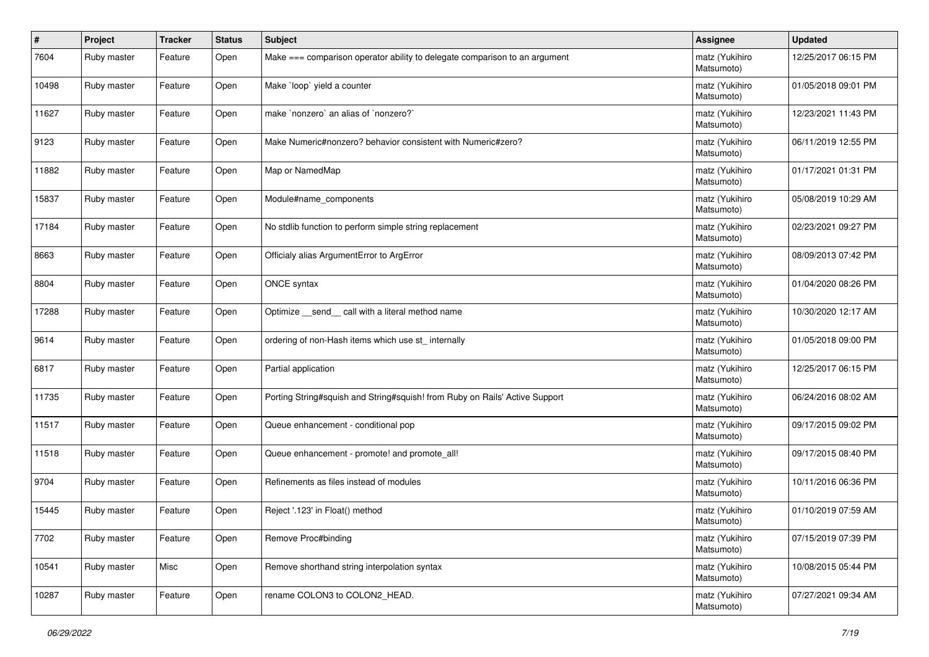| #     | Project     | <b>Tracker</b> | <b>Status</b> | Subject                                                                     | <b>Assignee</b>              | <b>Updated</b>      |
|-------|-------------|----------------|---------------|-----------------------------------------------------------------------------|------------------------------|---------------------|
| 7604  | Ruby master | Feature        | Open          | Make === comparison operator ability to delegate comparison to an argument  | matz (Yukihiro<br>Matsumoto) | 12/25/2017 06:15 PM |
| 10498 | Ruby master | Feature        | Open          | Make `loop` yield a counter                                                 | matz (Yukihiro<br>Matsumoto) | 01/05/2018 09:01 PM |
| 11627 | Ruby master | Feature        | Open          | make `nonzero` an alias of `nonzero?`                                       | matz (Yukihiro<br>Matsumoto) | 12/23/2021 11:43 PM |
| 9123  | Ruby master | Feature        | Open          | Make Numeric#nonzero? behavior consistent with Numeric#zero?                | matz (Yukihiro<br>Matsumoto) | 06/11/2019 12:55 PM |
| 11882 | Ruby master | Feature        | Open          | Map or NamedMap                                                             | matz (Yukihiro<br>Matsumoto) | 01/17/2021 01:31 PM |
| 15837 | Ruby master | Feature        | Open          | Module#name_components                                                      | matz (Yukihiro<br>Matsumoto) | 05/08/2019 10:29 AM |
| 17184 | Ruby master | Feature        | Open          | No stdlib function to perform simple string replacement                     | matz (Yukihiro<br>Matsumoto) | 02/23/2021 09:27 PM |
| 8663  | Ruby master | Feature        | Open          | Officialy alias ArgumentError to ArgError                                   | matz (Yukihiro<br>Matsumoto) | 08/09/2013 07:42 PM |
| 8804  | Ruby master | Feature        | Open          | ONCE syntax                                                                 | matz (Yukihiro<br>Matsumoto) | 01/04/2020 08:26 PM |
| 17288 | Ruby master | Feature        | Open          | Optimize send call with a literal method name                               | matz (Yukihiro<br>Matsumoto) | 10/30/2020 12:17 AM |
| 9614  | Ruby master | Feature        | Open          | ordering of non-Hash items which use st_ internally                         | matz (Yukihiro<br>Matsumoto) | 01/05/2018 09:00 PM |
| 6817  | Ruby master | Feature        | Open          | Partial application                                                         | matz (Yukihiro<br>Matsumoto) | 12/25/2017 06:15 PM |
| 11735 | Ruby master | Feature        | Open          | Porting String#squish and String#squish! from Ruby on Rails' Active Support | matz (Yukihiro<br>Matsumoto) | 06/24/2016 08:02 AM |
| 11517 | Ruby master | Feature        | Open          | Queue enhancement - conditional pop                                         | matz (Yukihiro<br>Matsumoto) | 09/17/2015 09:02 PM |
| 11518 | Ruby master | Feature        | Open          | Queue enhancement - promote! and promote_all!                               | matz (Yukihiro<br>Matsumoto) | 09/17/2015 08:40 PM |
| 9704  | Ruby master | Feature        | Open          | Refinements as files instead of modules                                     | matz (Yukihiro<br>Matsumoto) | 10/11/2016 06:36 PM |
| 15445 | Ruby master | Feature        | Open          | Reject '.123' in Float() method                                             | matz (Yukihiro<br>Matsumoto) | 01/10/2019 07:59 AM |
| 7702  | Ruby master | Feature        | Open          | Remove Proc#binding                                                         | matz (Yukihiro<br>Matsumoto) | 07/15/2019 07:39 PM |
| 10541 | Ruby master | Misc           | Open          | Remove shorthand string interpolation syntax                                | matz (Yukihiro<br>Matsumoto) | 10/08/2015 05:44 PM |
| 10287 | Ruby master | Feature        | Open          | rename COLON3 to COLON2 HEAD.                                               | matz (Yukihiro<br>Matsumoto) | 07/27/2021 09:34 AM |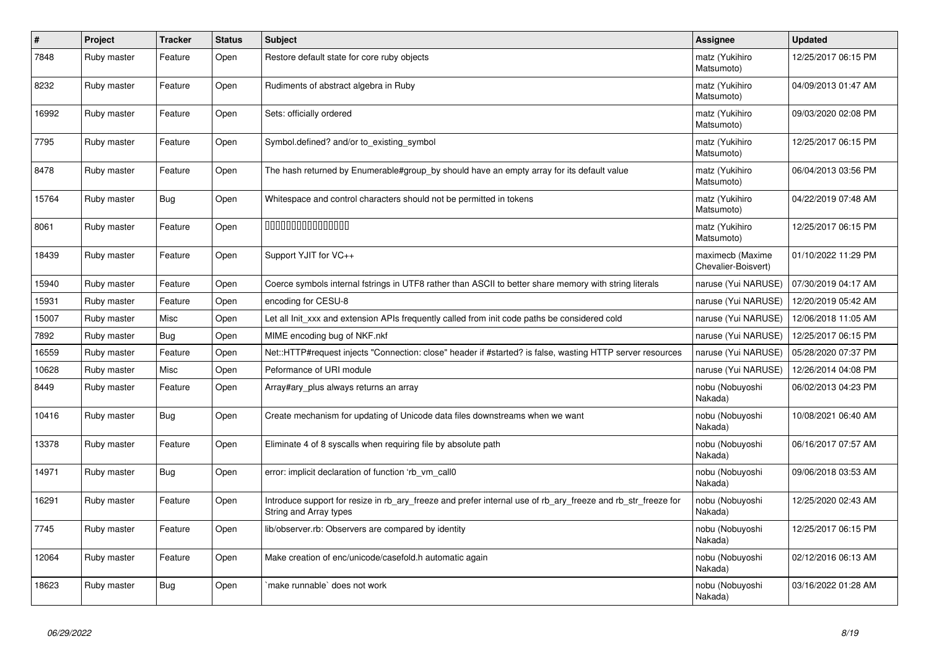| #     | Project     | <b>Tracker</b> | <b>Status</b> | <b>Subject</b>                                                                                                                         | Assignee                                | <b>Updated</b>      |
|-------|-------------|----------------|---------------|----------------------------------------------------------------------------------------------------------------------------------------|-----------------------------------------|---------------------|
| 7848  | Ruby master | Feature        | Open          | Restore default state for core ruby objects                                                                                            | matz (Yukihiro<br>Matsumoto)            | 12/25/2017 06:15 PM |
| 8232  | Ruby master | Feature        | Open          | Rudiments of abstract algebra in Ruby                                                                                                  | matz (Yukihiro<br>Matsumoto)            | 04/09/2013 01:47 AM |
| 16992 | Ruby master | Feature        | Open          | Sets: officially ordered                                                                                                               | matz (Yukihiro<br>Matsumoto)            | 09/03/2020 02:08 PM |
| 7795  | Ruby master | Feature        | Open          | Symbol.defined? and/or to existing symbol                                                                                              | matz (Yukihiro<br>Matsumoto)            | 12/25/2017 06:15 PM |
| 8478  | Ruby master | Feature        | Open          | The hash returned by Enumerable#group by should have an empty array for its default value                                              | matz (Yukihiro<br>Matsumoto)            | 06/04/2013 03:56 PM |
| 15764 | Ruby master | <b>Bug</b>     | Open          | Whitespace and control characters should not be permitted in tokens                                                                    | matz (Yukihiro<br>Matsumoto)            | 04/22/2019 07:48 AM |
| 8061  | Ruby master | Feature        | Open          | 000000000000000                                                                                                                        | matz (Yukihiro<br>Matsumoto)            | 12/25/2017 06:15 PM |
| 18439 | Ruby master | Feature        | Open          | Support YJIT for VC++                                                                                                                  | maximecb (Maxime<br>Chevalier-Boisvert) | 01/10/2022 11:29 PM |
| 15940 | Ruby master | Feature        | Open          | Coerce symbols internal fstrings in UTF8 rather than ASCII to better share memory with string literals                                 | naruse (Yui NARUSE)                     | 07/30/2019 04:17 AM |
| 15931 | Ruby master | Feature        | Open          | encoding for CESU-8                                                                                                                    | naruse (Yui NARUSE)                     | 12/20/2019 05:42 AM |
| 15007 | Ruby master | Misc           | Open          | Let all Init xxx and extension APIs frequently called from init code paths be considered cold                                          | naruse (Yui NARUSE)                     | 12/06/2018 11:05 AM |
| 7892  | Ruby master | <b>Bug</b>     | Open          | MIME encoding bug of NKF.nkf                                                                                                           | naruse (Yui NARUSE)                     | 12/25/2017 06:15 PM |
| 16559 | Ruby master | Feature        | Open          | Net::HTTP#request injects "Connection: close" header if #started? is false, wasting HTTP server resources                              | naruse (Yui NARUSE)                     | 05/28/2020 07:37 PM |
| 10628 | Ruby master | Misc           | Open          | Peformance of URI module                                                                                                               | naruse (Yui NARUSE)                     | 12/26/2014 04:08 PM |
| 8449  | Ruby master | Feature        | Open          | Array#ary_plus always returns an array                                                                                                 | nobu (Nobuyoshi<br>Nakada)              | 06/02/2013 04:23 PM |
| 10416 | Ruby master | Bug            | Open          | Create mechanism for updating of Unicode data files downstreams when we want                                                           | nobu (Nobuyoshi<br>Nakada)              | 10/08/2021 06:40 AM |
| 13378 | Ruby master | Feature        | Open          | Eliminate 4 of 8 syscalls when requiring file by absolute path                                                                         | nobu (Nobuyoshi<br>Nakada)              | 06/16/2017 07:57 AM |
| 14971 | Ruby master | <b>Bug</b>     | Open          | error: implicit declaration of function 'rb_vm_call0                                                                                   | nobu (Nobuyoshi<br>Nakada)              | 09/06/2018 03:53 AM |
| 16291 | Ruby master | Feature        | Open          | Introduce support for resize in rb_ary_freeze and prefer internal use of rb_ary_freeze and rb_str_freeze for<br>String and Array types | nobu (Nobuyoshi<br>Nakada)              | 12/25/2020 02:43 AM |
| 7745  | Ruby master | Feature        | Open          | lib/observer.rb: Observers are compared by identity                                                                                    | nobu (Nobuyoshi<br>Nakada)              | 12/25/2017 06:15 PM |
| 12064 | Ruby master | Feature        | Open          | Make creation of enc/unicode/casefold.h automatic again                                                                                | nobu (Nobuyoshi<br>Nakada)              | 02/12/2016 06:13 AM |
| 18623 | Ruby master | Bug            | Open          | make runnable' does not work                                                                                                           | nobu (Nobuyoshi<br>Nakada)              | 03/16/2022 01:28 AM |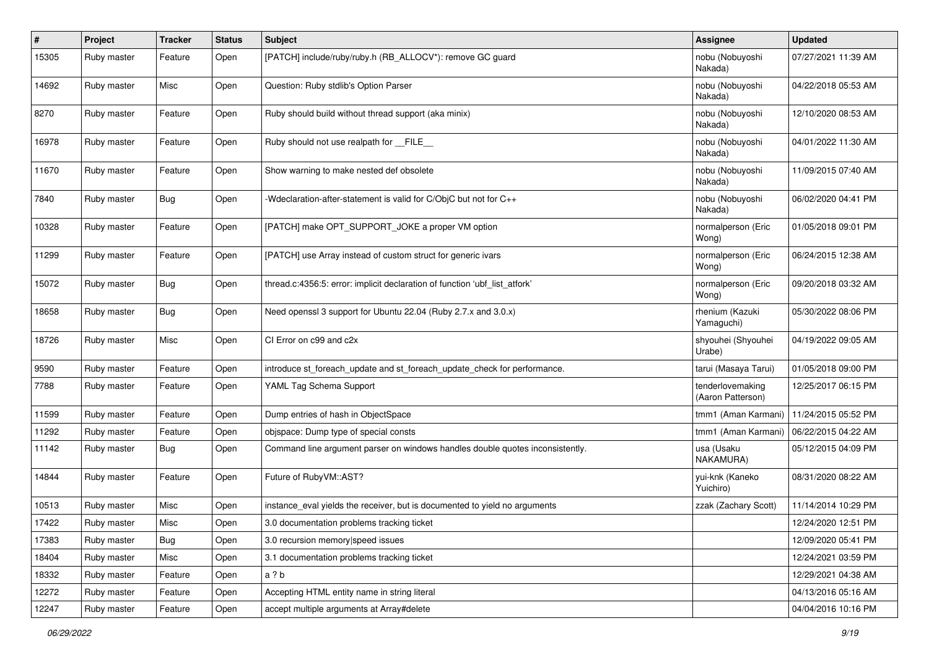| #     | Project     | <b>Tracker</b> | <b>Status</b> | Subject                                                                       | <b>Assignee</b>                       | <b>Updated</b>      |
|-------|-------------|----------------|---------------|-------------------------------------------------------------------------------|---------------------------------------|---------------------|
| 15305 | Ruby master | Feature        | Open          | [PATCH] include/ruby/ruby.h (RB_ALLOCV*): remove GC guard                     | nobu (Nobuyoshi<br>Nakada)            | 07/27/2021 11:39 AM |
| 14692 | Ruby master | Misc           | Open          | Question: Ruby stdlib's Option Parser                                         | nobu (Nobuyoshi<br>Nakada)            | 04/22/2018 05:53 AM |
| 8270  | Ruby master | Feature        | Open          | Ruby should build without thread support (aka minix)                          | nobu (Nobuyoshi<br>Nakada)            | 12/10/2020 08:53 AM |
| 16978 | Ruby master | Feature        | Open          | Ruby should not use realpath for __FILE_                                      | nobu (Nobuyoshi<br>Nakada)            | 04/01/2022 11:30 AM |
| 11670 | Ruby master | Feature        | Open          | Show warning to make nested def obsolete                                      | nobu (Nobuyoshi<br>Nakada)            | 11/09/2015 07:40 AM |
| 7840  | Ruby master | Bug            | Open          | -Wdeclaration-after-statement is valid for C/ObjC but not for C++             | nobu (Nobuyoshi<br>Nakada)            | 06/02/2020 04:41 PM |
| 10328 | Ruby master | Feature        | Open          | [PATCH] make OPT_SUPPORT_JOKE a proper VM option                              | normalperson (Eric<br>Wong)           | 01/05/2018 09:01 PM |
| 11299 | Ruby master | Feature        | Open          | [PATCH] use Array instead of custom struct for generic ivars                  | normalperson (Eric<br>Wong)           | 06/24/2015 12:38 AM |
| 15072 | Ruby master | Bug            | Open          | thread.c:4356:5: error: implicit declaration of function 'ubf_list_atfork'    | normalperson (Eric<br>Wong)           | 09/20/2018 03:32 AM |
| 18658 | Ruby master | Bug            | Open          | Need openssl 3 support for Ubuntu 22.04 (Ruby 2.7.x and 3.0.x)                | rhenium (Kazuki<br>Yamaguchi)         | 05/30/2022 08:06 PM |
| 18726 | Ruby master | Misc           | Open          | CI Error on c99 and c2x                                                       | shyouhei (Shyouhei<br>Urabe)          | 04/19/2022 09:05 AM |
| 9590  | Ruby master | Feature        | Open          | introduce st_foreach_update and st_foreach_update_check for performance.      | tarui (Masaya Tarui)                  | 01/05/2018 09:00 PM |
| 7788  | Ruby master | Feature        | Open          | YAML Tag Schema Support                                                       | tenderlovemaking<br>(Aaron Patterson) | 12/25/2017 06:15 PM |
| 11599 | Ruby master | Feature        | Open          | Dump entries of hash in ObjectSpace                                           | tmm1 (Aman Karmani)                   | 11/24/2015 05:52 PM |
| 11292 | Ruby master | Feature        | Open          | objspace: Dump type of special consts                                         | tmm1 (Aman Karmani)                   | 06/22/2015 04:22 AM |
| 11142 | Ruby master | Bug            | Open          | Command line argument parser on windows handles double quotes inconsistently. | usa (Usaku<br>NAKAMURA)               | 05/12/2015 04:09 PM |
| 14844 | Ruby master | Feature        | Open          | Future of RubyVM::AST?                                                        | yui-knk (Kaneko<br>Yuichiro)          | 08/31/2020 08:22 AM |
| 10513 | Ruby master | Misc           | Open          | instance_eval yields the receiver, but is documented to yield no arguments    | zzak (Zachary Scott)                  | 11/14/2014 10:29 PM |
| 17422 | Ruby master | Misc           | Open          | 3.0 documentation problems tracking ticket                                    |                                       | 12/24/2020 12:51 PM |
| 17383 | Ruby master | Bug            | Open          | 3.0 recursion memory speed issues                                             |                                       | 12/09/2020 05:41 PM |
| 18404 | Ruby master | Misc           | Open          | 3.1 documentation problems tracking ticket                                    |                                       | 12/24/2021 03:59 PM |
| 18332 | Ruby master | Feature        | Open          | a ? b                                                                         |                                       | 12/29/2021 04:38 AM |
| 12272 | Ruby master | Feature        | Open          | Accepting HTML entity name in string literal                                  |                                       | 04/13/2016 05:16 AM |
| 12247 | Ruby master | Feature        | Open          | accept multiple arguments at Array#delete                                     |                                       | 04/04/2016 10:16 PM |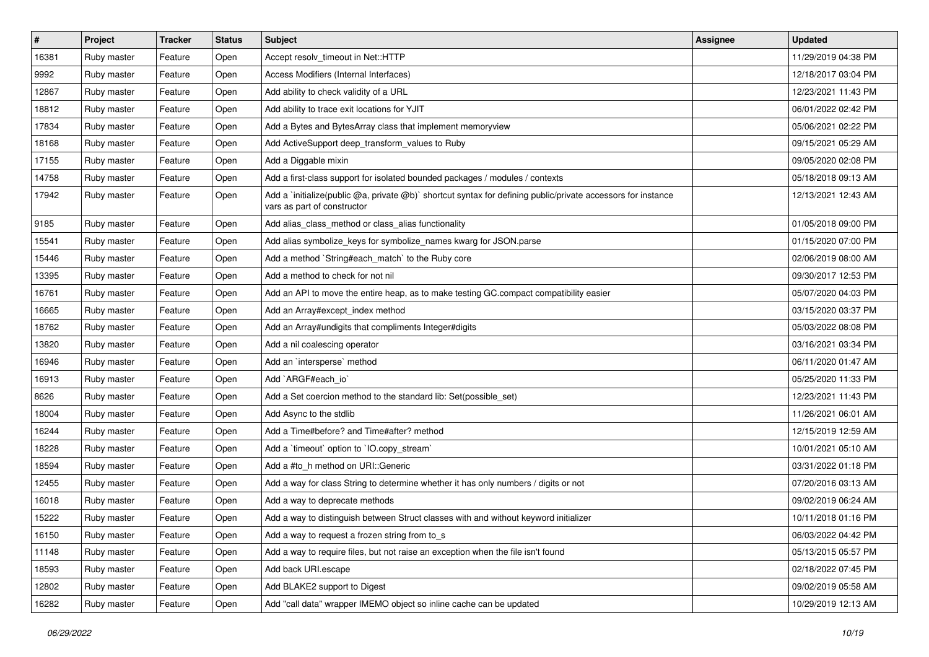| $\vert$ # | Project     | <b>Tracker</b> | <b>Status</b> | <b>Subject</b>                                                                                                                              | <b>Assignee</b> | <b>Updated</b>      |
|-----------|-------------|----------------|---------------|---------------------------------------------------------------------------------------------------------------------------------------------|-----------------|---------------------|
| 16381     | Ruby master | Feature        | Open          | Accept resolv_timeout in Net::HTTP                                                                                                          |                 | 11/29/2019 04:38 PM |
| 9992      | Ruby master | Feature        | Open          | Access Modifiers (Internal Interfaces)                                                                                                      |                 | 12/18/2017 03:04 PM |
| 12867     | Ruby master | Feature        | Open          | Add ability to check validity of a URL                                                                                                      |                 | 12/23/2021 11:43 PM |
| 18812     | Ruby master | Feature        | Open          | Add ability to trace exit locations for YJIT                                                                                                |                 | 06/01/2022 02:42 PM |
| 17834     | Ruby master | Feature        | Open          | Add a Bytes and BytesArray class that implement memoryview                                                                                  |                 | 05/06/2021 02:22 PM |
| 18168     | Ruby master | Feature        | Open          | Add ActiveSupport deep_transform_values to Ruby                                                                                             |                 | 09/15/2021 05:29 AM |
| 17155     | Ruby master | Feature        | Open          | Add a Diggable mixin                                                                                                                        |                 | 09/05/2020 02:08 PM |
| 14758     | Ruby master | Feature        | Open          | Add a first-class support for isolated bounded packages / modules / contexts                                                                |                 | 05/18/2018 09:13 AM |
| 17942     | Ruby master | Feature        | Open          | Add a `initialize(public @a, private @b)` shortcut syntax for defining public/private accessors for instance<br>vars as part of constructor |                 | 12/13/2021 12:43 AM |
| 9185      | Ruby master | Feature        | Open          | Add alias_class_method or class_alias functionality                                                                                         |                 | 01/05/2018 09:00 PM |
| 15541     | Ruby master | Feature        | Open          | Add alias symbolize_keys for symbolize_names kwarg for JSON.parse                                                                           |                 | 01/15/2020 07:00 PM |
| 15446     | Ruby master | Feature        | Open          | Add a method `String#each_match` to the Ruby core                                                                                           |                 | 02/06/2019 08:00 AM |
| 13395     | Ruby master | Feature        | Open          | Add a method to check for not nil                                                                                                           |                 | 09/30/2017 12:53 PM |
| 16761     | Ruby master | Feature        | Open          | Add an API to move the entire heap, as to make testing GC.compact compatibility easier                                                      |                 | 05/07/2020 04:03 PM |
| 16665     | Ruby master | Feature        | Open          | Add an Array#except index method                                                                                                            |                 | 03/15/2020 03:37 PM |
| 18762     | Ruby master | Feature        | Open          | Add an Array#undigits that compliments Integer#digits                                                                                       |                 | 05/03/2022 08:08 PM |
| 13820     | Ruby master | Feature        | Open          | Add a nil coalescing operator                                                                                                               |                 | 03/16/2021 03:34 PM |
| 16946     | Ruby master | Feature        | Open          | Add an 'intersperse' method                                                                                                                 |                 | 06/11/2020 01:47 AM |
| 16913     | Ruby master | Feature        | Open          | Add `ARGF#each_io`                                                                                                                          |                 | 05/25/2020 11:33 PM |
| 8626      | Ruby master | Feature        | Open          | Add a Set coercion method to the standard lib: Set (possible set)                                                                           |                 | 12/23/2021 11:43 PM |
| 18004     | Ruby master | Feature        | Open          | Add Async to the stdlib                                                                                                                     |                 | 11/26/2021 06:01 AM |
| 16244     | Ruby master | Feature        | Open          | Add a Time#before? and Time#after? method                                                                                                   |                 | 12/15/2019 12:59 AM |
| 18228     | Ruby master | Feature        | Open          | Add a 'timeout' option to 'IO.copy_stream'                                                                                                  |                 | 10/01/2021 05:10 AM |
| 18594     | Ruby master | Feature        | Open          | Add a #to_h method on URI::Generic                                                                                                          |                 | 03/31/2022 01:18 PM |
| 12455     | Ruby master | Feature        | Open          | Add a way for class String to determine whether it has only numbers / digits or not                                                         |                 | 07/20/2016 03:13 AM |
| 16018     | Ruby master | Feature        | Open          | Add a way to deprecate methods                                                                                                              |                 | 09/02/2019 06:24 AM |
| 15222     | Ruby master | Feature        | Open          | Add a way to distinguish between Struct classes with and without keyword initializer                                                        |                 | 10/11/2018 01:16 PM |
| 16150     | Ruby master | Feature        | Open          | Add a way to request a frozen string from to s                                                                                              |                 | 06/03/2022 04:42 PM |
| 11148     | Ruby master | Feature        | Open          | Add a way to require files, but not raise an exception when the file isn't found                                                            |                 | 05/13/2015 05:57 PM |
| 18593     | Ruby master | Feature        | Open          | Add back URI.escape                                                                                                                         |                 | 02/18/2022 07:45 PM |
| 12802     | Ruby master | Feature        | Open          | Add BLAKE2 support to Digest                                                                                                                |                 | 09/02/2019 05:58 AM |
| 16282     | Ruby master | Feature        | Open          | Add "call data" wrapper IMEMO object so inline cache can be updated                                                                         |                 | 10/29/2019 12:13 AM |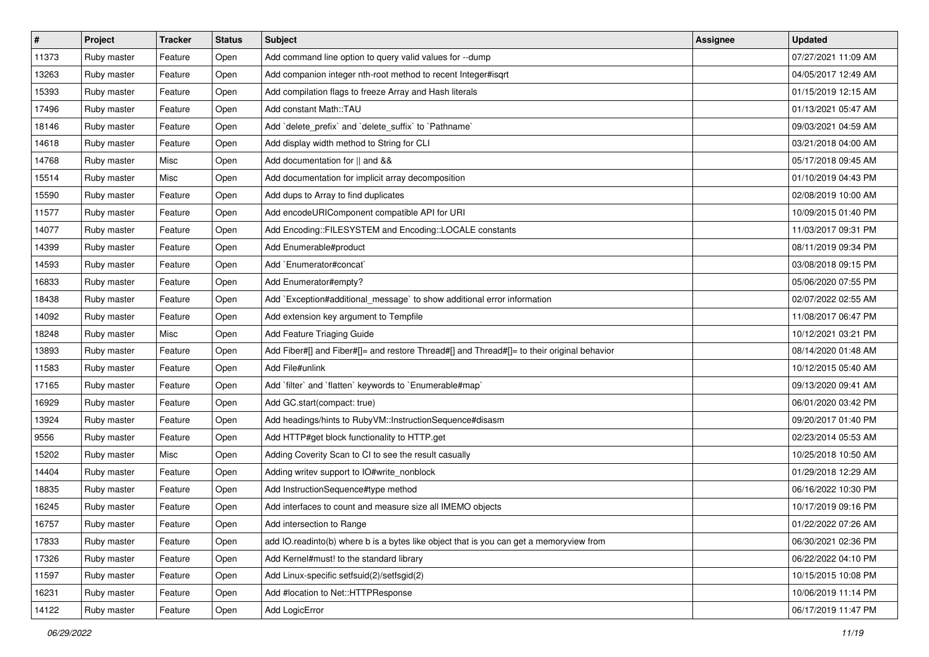| $\sharp$ | Project     | <b>Tracker</b> | <b>Status</b> | <b>Subject</b>                                                                             | <b>Assignee</b> | <b>Updated</b>      |
|----------|-------------|----------------|---------------|--------------------------------------------------------------------------------------------|-----------------|---------------------|
| 11373    | Ruby master | Feature        | Open          | Add command line option to query valid values for --dump                                   |                 | 07/27/2021 11:09 AM |
| 13263    | Ruby master | Feature        | Open          | Add companion integer nth-root method to recent Integer#isqrt                              |                 | 04/05/2017 12:49 AM |
| 15393    | Ruby master | Feature        | Open          | Add compilation flags to freeze Array and Hash literals                                    |                 | 01/15/2019 12:15 AM |
| 17496    | Ruby master | Feature        | Open          | Add constant Math::TAU                                                                     |                 | 01/13/2021 05:47 AM |
| 18146    | Ruby master | Feature        | Open          | Add 'delete_prefix' and 'delete_suffix' to 'Pathname'                                      |                 | 09/03/2021 04:59 AM |
| 14618    | Ruby master | Feature        | Open          | Add display width method to String for CLI                                                 |                 | 03/21/2018 04:00 AM |
| 14768    | Ruby master | Misc           | Open          | Add documentation for    and &&                                                            |                 | 05/17/2018 09:45 AM |
| 15514    | Ruby master | Misc           | Open          | Add documentation for implicit array decomposition                                         |                 | 01/10/2019 04:43 PM |
| 15590    | Ruby master | Feature        | Open          | Add dups to Array to find duplicates                                                       |                 | 02/08/2019 10:00 AM |
| 11577    | Ruby master | Feature        | Open          | Add encodeURIComponent compatible API for URI                                              |                 | 10/09/2015 01:40 PM |
| 14077    | Ruby master | Feature        | Open          | Add Encoding::FILESYSTEM and Encoding::LOCALE constants                                    |                 | 11/03/2017 09:31 PM |
| 14399    | Ruby master | Feature        | Open          | Add Enumerable#product                                                                     |                 | 08/11/2019 09:34 PM |
| 14593    | Ruby master | Feature        | Open          | Add `Enumerator#concat`                                                                    |                 | 03/08/2018 09:15 PM |
| 16833    | Ruby master | Feature        | Open          | Add Enumerator#empty?                                                                      |                 | 05/06/2020 07:55 PM |
| 18438    | Ruby master | Feature        | Open          | Add `Exception#additional_message` to show additional error information                    |                 | 02/07/2022 02:55 AM |
| 14092    | Ruby master | Feature        | Open          | Add extension key argument to Tempfile                                                     |                 | 11/08/2017 06:47 PM |
| 18248    | Ruby master | Misc           | Open          | Add Feature Triaging Guide                                                                 |                 | 10/12/2021 03:21 PM |
| 13893    | Ruby master | Feature        | Open          | Add Fiber#[] and Fiber#[]= and restore Thread#[] and Thread#[]= to their original behavior |                 | 08/14/2020 01:48 AM |
| 11583    | Ruby master | Feature        | Open          | Add File#unlink                                                                            |                 | 10/12/2015 05:40 AM |
| 17165    | Ruby master | Feature        | Open          | Add 'filter' and 'flatten' keywords to 'Enumerable#map'                                    |                 | 09/13/2020 09:41 AM |
| 16929    | Ruby master | Feature        | Open          | Add GC.start(compact: true)                                                                |                 | 06/01/2020 03:42 PM |
| 13924    | Ruby master | Feature        | Open          | Add headings/hints to RubyVM::InstructionSequence#disasm                                   |                 | 09/20/2017 01:40 PM |
| 9556     | Ruby master | Feature        | Open          | Add HTTP#get block functionality to HTTP.get                                               |                 | 02/23/2014 05:53 AM |
| 15202    | Ruby master | Misc           | Open          | Adding Coverity Scan to CI to see the result casually                                      |                 | 10/25/2018 10:50 AM |
| 14404    | Ruby master | Feature        | Open          | Adding writev support to IO#write_nonblock                                                 |                 | 01/29/2018 12:29 AM |
| 18835    | Ruby master | Feature        | Open          | Add InstructionSequence#type method                                                        |                 | 06/16/2022 10:30 PM |
| 16245    | Ruby master | Feature        | Open          | Add interfaces to count and measure size all IMEMO objects                                 |                 | 10/17/2019 09:16 PM |
| 16757    | Ruby master | Feature        | Open          | Add intersection to Range                                                                  |                 | 01/22/2022 07:26 AM |
| 17833    | Ruby master | Feature        | Open          | add IO.readinto(b) where b is a bytes like object that is you can get a memoryview from    |                 | 06/30/2021 02:36 PM |
| 17326    | Ruby master | Feature        | Open          | Add Kernel#must! to the standard library                                                   |                 | 06/22/2022 04:10 PM |
| 11597    | Ruby master | Feature        | Open          | Add Linux-specific setfsuid(2)/setfsgid(2)                                                 |                 | 10/15/2015 10:08 PM |
| 16231    | Ruby master | Feature        | Open          | Add #location to Net::HTTPResponse                                                         |                 | 10/06/2019 11:14 PM |
| 14122    | Ruby master | Feature        | Open          | Add LogicError                                                                             |                 | 06/17/2019 11:47 PM |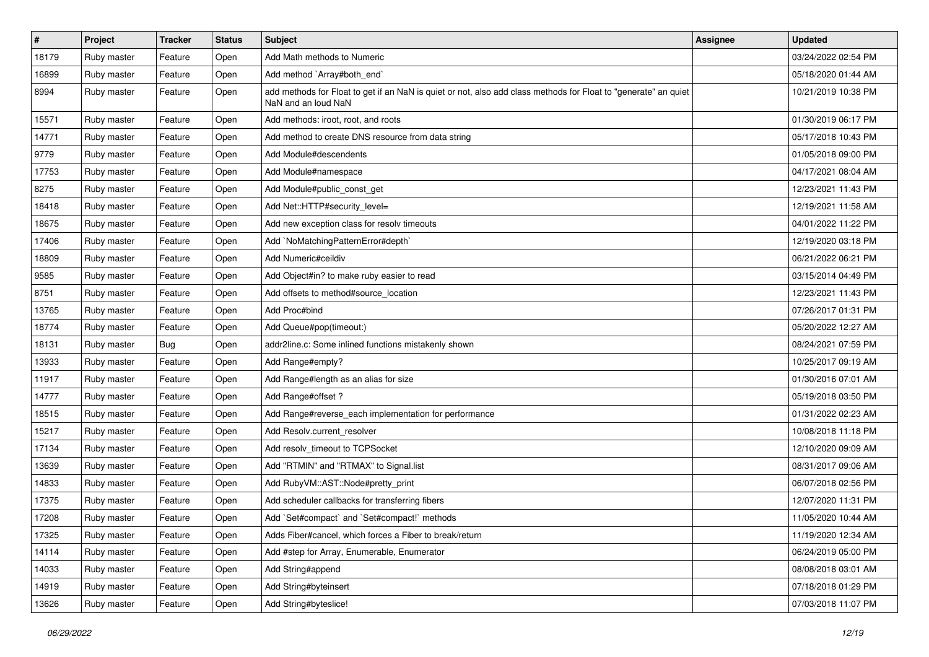| $\pmb{\#}$ | Project     | <b>Tracker</b> | <b>Status</b> | <b>Subject</b>                                                                                                                         | <b>Assignee</b> | <b>Updated</b>      |
|------------|-------------|----------------|---------------|----------------------------------------------------------------------------------------------------------------------------------------|-----------------|---------------------|
| 18179      | Ruby master | Feature        | Open          | Add Math methods to Numeric                                                                                                            |                 | 03/24/2022 02:54 PM |
| 16899      | Ruby master | Feature        | Open          | Add method `Array#both_end`                                                                                                            |                 | 05/18/2020 01:44 AM |
| 8994       | Ruby master | Feature        | Open          | add methods for Float to get if an NaN is quiet or not, also add class methods for Float to "generate" an quiet<br>NaN and an loud NaN |                 | 10/21/2019 10:38 PM |
| 15571      | Ruby master | Feature        | Open          | Add methods: iroot, root, and roots                                                                                                    |                 | 01/30/2019 06:17 PM |
| 14771      | Ruby master | Feature        | Open          | Add method to create DNS resource from data string                                                                                     |                 | 05/17/2018 10:43 PM |
| 9779       | Ruby master | Feature        | Open          | Add Module#descendents                                                                                                                 |                 | 01/05/2018 09:00 PM |
| 17753      | Ruby master | Feature        | Open          | Add Module#namespace                                                                                                                   |                 | 04/17/2021 08:04 AM |
| 8275       | Ruby master | Feature        | Open          | Add Module#public_const_get                                                                                                            |                 | 12/23/2021 11:43 PM |
| 18418      | Ruby master | Feature        | Open          | Add Net::HTTP#security_level=                                                                                                          |                 | 12/19/2021 11:58 AM |
| 18675      | Ruby master | Feature        | Open          | Add new exception class for resolv timeouts                                                                                            |                 | 04/01/2022 11:22 PM |
| 17406      | Ruby master | Feature        | Open          | Add `NoMatchingPatternError#depth`                                                                                                     |                 | 12/19/2020 03:18 PM |
| 18809      | Ruby master | Feature        | Open          | Add Numeric#ceildiv                                                                                                                    |                 | 06/21/2022 06:21 PM |
| 9585       | Ruby master | Feature        | Open          | Add Object#in? to make ruby easier to read                                                                                             |                 | 03/15/2014 04:49 PM |
| 8751       | Ruby master | Feature        | Open          | Add offsets to method#source_location                                                                                                  |                 | 12/23/2021 11:43 PM |
| 13765      | Ruby master | Feature        | Open          | Add Proc#bind                                                                                                                          |                 | 07/26/2017 01:31 PM |
| 18774      | Ruby master | Feature        | Open          | Add Queue#pop(timeout:)                                                                                                                |                 | 05/20/2022 12:27 AM |
| 18131      | Ruby master | Bug            | Open          | addr2line.c: Some inlined functions mistakenly shown                                                                                   |                 | 08/24/2021 07:59 PM |
| 13933      | Ruby master | Feature        | Open          | Add Range#empty?                                                                                                                       |                 | 10/25/2017 09:19 AM |
| 11917      | Ruby master | Feature        | Open          | Add Range#length as an alias for size                                                                                                  |                 | 01/30/2016 07:01 AM |
| 14777      | Ruby master | Feature        | Open          | Add Range#offset?                                                                                                                      |                 | 05/19/2018 03:50 PM |
| 18515      | Ruby master | Feature        | Open          | Add Range#reverse_each implementation for performance                                                                                  |                 | 01/31/2022 02:23 AM |
| 15217      | Ruby master | Feature        | Open          | Add Resolv.current_resolver                                                                                                            |                 | 10/08/2018 11:18 PM |
| 17134      | Ruby master | Feature        | Open          | Add resolv timeout to TCPSocket                                                                                                        |                 | 12/10/2020 09:09 AM |
| 13639      | Ruby master | Feature        | Open          | Add "RTMIN" and "RTMAX" to Signal.list                                                                                                 |                 | 08/31/2017 09:06 AM |
| 14833      | Ruby master | Feature        | Open          | Add RubyVM::AST::Node#pretty_print                                                                                                     |                 | 06/07/2018 02:56 PM |
| 17375      | Ruby master | Feature        | Open          | Add scheduler callbacks for transferring fibers                                                                                        |                 | 12/07/2020 11:31 PM |
| 17208      | Ruby master | Feature        | Open          | Add `Set#compact` and `Set#compact!` methods                                                                                           |                 | 11/05/2020 10:44 AM |
| 17325      | Ruby master | Feature        | Open          | Adds Fiber#cancel, which forces a Fiber to break/return                                                                                |                 | 11/19/2020 12:34 AM |
| 14114      | Ruby master | Feature        | Open          | Add #step for Array, Enumerable, Enumerator                                                                                            |                 | 06/24/2019 05:00 PM |
| 14033      | Ruby master | Feature        | Open          | Add String#append                                                                                                                      |                 | 08/08/2018 03:01 AM |
| 14919      | Ruby master | Feature        | Open          | Add String#byteinsert                                                                                                                  |                 | 07/18/2018 01:29 PM |
| 13626      | Ruby master | Feature        | Open          | Add String#byteslice!                                                                                                                  |                 | 07/03/2018 11:07 PM |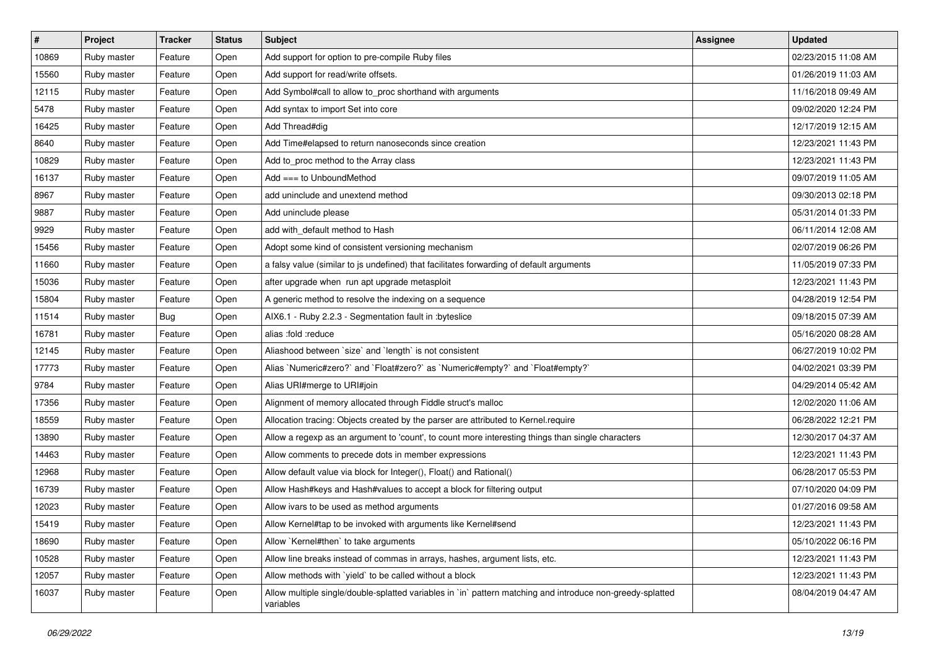| $\vert$ # | Project     | <b>Tracker</b> | <b>Status</b> | <b>Subject</b>                                                                                                          | <b>Assignee</b> | <b>Updated</b>      |
|-----------|-------------|----------------|---------------|-------------------------------------------------------------------------------------------------------------------------|-----------------|---------------------|
| 10869     | Ruby master | Feature        | Open          | Add support for option to pre-compile Ruby files                                                                        |                 | 02/23/2015 11:08 AM |
| 15560     | Ruby master | Feature        | Open          | Add support for read/write offsets.                                                                                     |                 | 01/26/2019 11:03 AM |
| 12115     | Ruby master | Feature        | Open          | Add Symbol#call to allow to_proc shorthand with arguments                                                               |                 | 11/16/2018 09:49 AM |
| 5478      | Ruby master | Feature        | Open          | Add syntax to import Set into core                                                                                      |                 | 09/02/2020 12:24 PM |
| 16425     | Ruby master | Feature        | Open          | Add Thread#dig                                                                                                          |                 | 12/17/2019 12:15 AM |
| 8640      | Ruby master | Feature        | Open          | Add Time#elapsed to return nanoseconds since creation                                                                   |                 | 12/23/2021 11:43 PM |
| 10829     | Ruby master | Feature        | Open          | Add to_proc method to the Array class                                                                                   |                 | 12/23/2021 11:43 PM |
| 16137     | Ruby master | Feature        | Open          | $Add == to UnboundMethod$                                                                                               |                 | 09/07/2019 11:05 AM |
| 8967      | Ruby master | Feature        | Open          | add uninclude and unextend method                                                                                       |                 | 09/30/2013 02:18 PM |
| 9887      | Ruby master | Feature        | Open          | Add uninclude please                                                                                                    |                 | 05/31/2014 01:33 PM |
| 9929      | Ruby master | Feature        | Open          | add with default method to Hash                                                                                         |                 | 06/11/2014 12:08 AM |
| 15456     | Ruby master | Feature        | Open          | Adopt some kind of consistent versioning mechanism                                                                      |                 | 02/07/2019 06:26 PM |
| 11660     | Ruby master | Feature        | Open          | a falsy value (similar to js undefined) that facilitates forwarding of default arguments                                |                 | 11/05/2019 07:33 PM |
| 15036     | Ruby master | Feature        | Open          | after upgrade when run apt upgrade metasploit                                                                           |                 | 12/23/2021 11:43 PM |
| 15804     | Ruby master | Feature        | Open          | A generic method to resolve the indexing on a sequence                                                                  |                 | 04/28/2019 12:54 PM |
| 11514     | Ruby master | <b>Bug</b>     | Open          | AIX6.1 - Ruby 2.2.3 - Segmentation fault in :byteslice                                                                  |                 | 09/18/2015 07:39 AM |
| 16781     | Ruby master | Feature        | Open          | alias :fold :reduce                                                                                                     |                 | 05/16/2020 08:28 AM |
| 12145     | Ruby master | Feature        | Open          | Aliashood between 'size' and 'length' is not consistent                                                                 |                 | 06/27/2019 10:02 PM |
| 17773     | Ruby master | Feature        | Open          | Alias `Numeric#zero?` and `Float#zero?` as `Numeric#empty?` and `Float#empty?`                                          |                 | 04/02/2021 03:39 PM |
| 9784      | Ruby master | Feature        | Open          | Alias URI#merge to URI#join                                                                                             |                 | 04/29/2014 05:42 AM |
| 17356     | Ruby master | Feature        | Open          | Alignment of memory allocated through Fiddle struct's malloc                                                            |                 | 12/02/2020 11:06 AM |
| 18559     | Ruby master | Feature        | Open          | Allocation tracing: Objects created by the parser are attributed to Kernel.require                                      |                 | 06/28/2022 12:21 PM |
| 13890     | Ruby master | Feature        | Open          | Allow a regexp as an argument to 'count', to count more interesting things than single characters                       |                 | 12/30/2017 04:37 AM |
| 14463     | Ruby master | Feature        | Open          | Allow comments to precede dots in member expressions                                                                    |                 | 12/23/2021 11:43 PM |
| 12968     | Ruby master | Feature        | Open          | Allow default value via block for Integer(), Float() and Rational()                                                     |                 | 06/28/2017 05:53 PM |
| 16739     | Ruby master | Feature        | Open          | Allow Hash#keys and Hash#values to accept a block for filtering output                                                  |                 | 07/10/2020 04:09 PM |
| 12023     | Ruby master | Feature        | Open          | Allow ivars to be used as method arguments                                                                              |                 | 01/27/2016 09:58 AM |
| 15419     | Ruby master | Feature        | Open          | Allow Kernel#tap to be invoked with arguments like Kernel#send                                                          |                 | 12/23/2021 11:43 PM |
| 18690     | Ruby master | Feature        | Open          | Allow `Kernel#then` to take arguments                                                                                   |                 | 05/10/2022 06:16 PM |
| 10528     | Ruby master | Feature        | Open          | Allow line breaks instead of commas in arrays, hashes, argument lists, etc.                                             |                 | 12/23/2021 11:43 PM |
| 12057     | Ruby master | Feature        | Open          | Allow methods with 'yield' to be called without a block                                                                 |                 | 12/23/2021 11:43 PM |
| 16037     | Ruby master | Feature        | Open          | Allow multiple single/double-splatted variables in `in` pattern matching and introduce non-greedy-splatted<br>variables |                 | 08/04/2019 04:47 AM |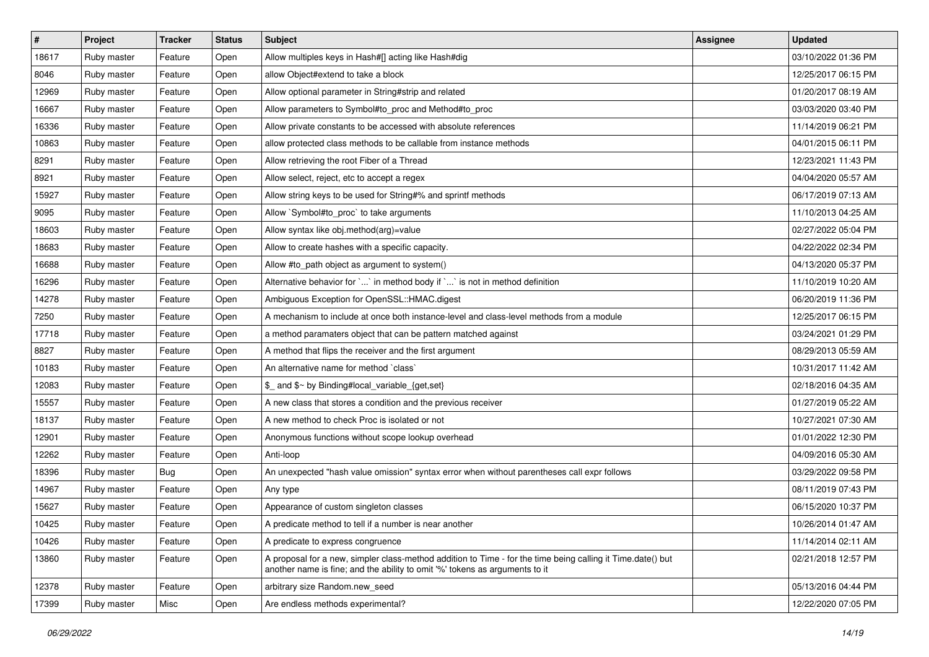| $\vert$ # | Project     | Tracker    | <b>Status</b> | <b>Subject</b>                                                                                                                                                                             | <b>Assignee</b> | <b>Updated</b>      |
|-----------|-------------|------------|---------------|--------------------------------------------------------------------------------------------------------------------------------------------------------------------------------------------|-----------------|---------------------|
| 18617     | Ruby master | Feature    | Open          | Allow multiples keys in Hash#[] acting like Hash#dig                                                                                                                                       |                 | 03/10/2022 01:36 PM |
| 8046      | Ruby master | Feature    | Open          | allow Object#extend to take a block                                                                                                                                                        |                 | 12/25/2017 06:15 PM |
| 12969     | Ruby master | Feature    | Open          | Allow optional parameter in String#strip and related                                                                                                                                       |                 | 01/20/2017 08:19 AM |
| 16667     | Ruby master | Feature    | Open          | Allow parameters to Symbol#to_proc and Method#to_proc                                                                                                                                      |                 | 03/03/2020 03:40 PM |
| 16336     | Ruby master | Feature    | Open          | Allow private constants to be accessed with absolute references                                                                                                                            |                 | 11/14/2019 06:21 PM |
| 10863     | Ruby master | Feature    | Open          | allow protected class methods to be callable from instance methods                                                                                                                         |                 | 04/01/2015 06:11 PM |
| 8291      | Ruby master | Feature    | Open          | Allow retrieving the root Fiber of a Thread                                                                                                                                                |                 | 12/23/2021 11:43 PM |
| 8921      | Ruby master | Feature    | Open          | Allow select, reject, etc to accept a regex                                                                                                                                                |                 | 04/04/2020 05:57 AM |
| 15927     | Ruby master | Feature    | Open          | Allow string keys to be used for String#% and sprintf methods                                                                                                                              |                 | 06/17/2019 07:13 AM |
| 9095      | Ruby master | Feature    | Open          | Allow `Symbol#to_proc` to take arguments                                                                                                                                                   |                 | 11/10/2013 04:25 AM |
| 18603     | Ruby master | Feature    | Open          | Allow syntax like obj.method(arg)=value                                                                                                                                                    |                 | 02/27/2022 05:04 PM |
| 18683     | Ruby master | Feature    | Open          | Allow to create hashes with a specific capacity.                                                                                                                                           |                 | 04/22/2022 02:34 PM |
| 16688     | Ruby master | Feature    | Open          | Allow #to_path object as argument to system()                                                                                                                                              |                 | 04/13/2020 05:37 PM |
| 16296     | Ruby master | Feature    | Open          | Alternative behavior for ` ` in method body if ` ` is not in method definition                                                                                                             |                 | 11/10/2019 10:20 AM |
| 14278     | Ruby master | Feature    | Open          | Ambiguous Exception for OpenSSL::HMAC.digest                                                                                                                                               |                 | 06/20/2019 11:36 PM |
| 7250      | Ruby master | Feature    | Open          | A mechanism to include at once both instance-level and class-level methods from a module                                                                                                   |                 | 12/25/2017 06:15 PM |
| 17718     | Ruby master | Feature    | Open          | a method paramaters object that can be pattern matched against                                                                                                                             |                 | 03/24/2021 01:29 PM |
| 8827      | Ruby master | Feature    | Open          | A method that flips the receiver and the first argument                                                                                                                                    |                 | 08/29/2013 05:59 AM |
| 10183     | Ruby master | Feature    | Open          | An alternative name for method `class`                                                                                                                                                     |                 | 10/31/2017 11:42 AM |
| 12083     | Ruby master | Feature    | Open          | \$_ and \$~ by Binding#local_variable_{get,set}                                                                                                                                            |                 | 02/18/2016 04:35 AM |
| 15557     | Ruby master | Feature    | Open          | A new class that stores a condition and the previous receiver                                                                                                                              |                 | 01/27/2019 05:22 AM |
| 18137     | Ruby master | Feature    | Open          | A new method to check Proc is isolated or not                                                                                                                                              |                 | 10/27/2021 07:30 AM |
| 12901     | Ruby master | Feature    | Open          | Anonymous functions without scope lookup overhead                                                                                                                                          |                 | 01/01/2022 12:30 PM |
| 12262     | Ruby master | Feature    | Open          | Anti-loop                                                                                                                                                                                  |                 | 04/09/2016 05:30 AM |
| 18396     | Ruby master | <b>Bug</b> | Open          | An unexpected "hash value omission" syntax error when without parentheses call expr follows                                                                                                |                 | 03/29/2022 09:58 PM |
| 14967     | Ruby master | Feature    | Open          | Any type                                                                                                                                                                                   |                 | 08/11/2019 07:43 PM |
| 15627     | Ruby master | Feature    | Open          | Appearance of custom singleton classes                                                                                                                                                     |                 | 06/15/2020 10:37 PM |
| 10425     | Ruby master | Feature    | Open          | A predicate method to tell if a number is near another                                                                                                                                     |                 | 10/26/2014 01:47 AM |
| 10426     | Ruby master | Feature    | Open          | A predicate to express congruence                                                                                                                                                          |                 | 11/14/2014 02:11 AM |
| 13860     | Ruby master | Feature    | Open          | A proposal for a new, simpler class-method addition to Time - for the time being calling it Time.date() but<br>another name is fine; and the ability to omit '%' tokens as arguments to it |                 | 02/21/2018 12:57 PM |
| 12378     | Ruby master | Feature    | Open          | arbitrary size Random.new_seed                                                                                                                                                             |                 | 05/13/2016 04:44 PM |
| 17399     | Ruby master | Misc       | Open          | Are endless methods experimental?                                                                                                                                                          |                 | 12/22/2020 07:05 PM |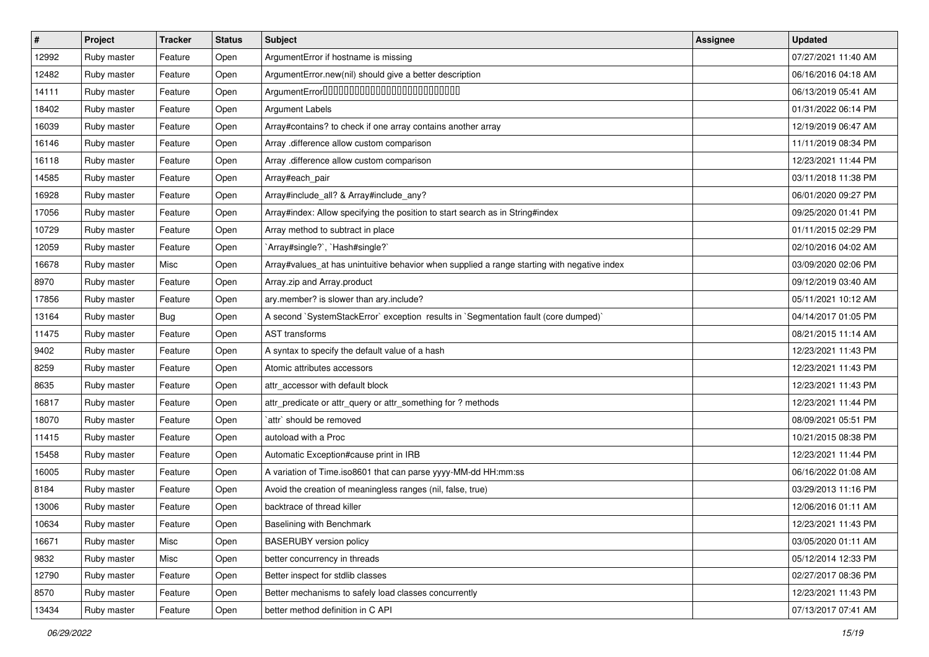| $\vert$ # | Project     | <b>Tracker</b> | <b>Status</b> | Subject                                                                                     | <b>Assignee</b> | <b>Updated</b>      |
|-----------|-------------|----------------|---------------|---------------------------------------------------------------------------------------------|-----------------|---------------------|
| 12992     | Ruby master | Feature        | Open          | ArgumentError if hostname is missing                                                        |                 | 07/27/2021 11:40 AM |
| 12482     | Ruby master | Feature        | Open          | ArgumentError.new(nil) should give a better description                                     |                 | 06/16/2016 04:18 AM |
| 14111     | Ruby master | Feature        | Open          | ArgumentError00000000000000000000000000                                                     |                 | 06/13/2019 05:41 AM |
| 18402     | Ruby master | Feature        | Open          | <b>Argument Labels</b>                                                                      |                 | 01/31/2022 06:14 PM |
| 16039     | Ruby master | Feature        | Open          | Array#contains? to check if one array contains another array                                |                 | 12/19/2019 06:47 AM |
| 16146     | Ruby master | Feature        | Open          | Array .difference allow custom comparison                                                   |                 | 11/11/2019 08:34 PM |
| 16118     | Ruby master | Feature        | Open          | Array .difference allow custom comparison                                                   |                 | 12/23/2021 11:44 PM |
| 14585     | Ruby master | Feature        | Open          | Array#each_pair                                                                             |                 | 03/11/2018 11:38 PM |
| 16928     | Ruby master | Feature        | Open          | Array#include_all? & Array#include_any?                                                     |                 | 06/01/2020 09:27 PM |
| 17056     | Ruby master | Feature        | Open          | Array#index: Allow specifying the position to start search as in String#index               |                 | 09/25/2020 01:41 PM |
| 10729     | Ruby master | Feature        | Open          | Array method to subtract in place                                                           |                 | 01/11/2015 02:29 PM |
| 12059     | Ruby master | Feature        | Open          | 'Array#single?', 'Hash#single?'                                                             |                 | 02/10/2016 04:02 AM |
| 16678     | Ruby master | Misc           | Open          | Array#values_at has unintuitive behavior when supplied a range starting with negative index |                 | 03/09/2020 02:06 PM |
| 8970      | Ruby master | Feature        | Open          | Array.zip and Array.product                                                                 |                 | 09/12/2019 03:40 AM |
| 17856     | Ruby master | Feature        | Open          | ary.member? is slower than ary.include?                                                     |                 | 05/11/2021 10:12 AM |
| 13164     | Ruby master | <b>Bug</b>     | Open          | A second `SystemStackError` exception results in `Segmentation fault (core dumped)`         |                 | 04/14/2017 01:05 PM |
| 11475     | Ruby master | Feature        | Open          | AST transforms                                                                              |                 | 08/21/2015 11:14 AM |
| 9402      | Ruby master | Feature        | Open          | A syntax to specify the default value of a hash                                             |                 | 12/23/2021 11:43 PM |
| 8259      | Ruby master | Feature        | Open          | Atomic attributes accessors                                                                 |                 | 12/23/2021 11:43 PM |
| 8635      | Ruby master | Feature        | Open          | attr_accessor with default block                                                            |                 | 12/23/2021 11:43 PM |
| 16817     | Ruby master | Feature        | Open          | attr_predicate or attr_query or attr_something for ? methods                                |                 | 12/23/2021 11:44 PM |
| 18070     | Ruby master | Feature        | Open          | `attr` should be removed                                                                    |                 | 08/09/2021 05:51 PM |
| 11415     | Ruby master | Feature        | Open          | autoload with a Proc                                                                        |                 | 10/21/2015 08:38 PM |
| 15458     | Ruby master | Feature        | Open          | Automatic Exception#cause print in IRB                                                      |                 | 12/23/2021 11:44 PM |
| 16005     | Ruby master | Feature        | Open          | A variation of Time.iso8601 that can parse yyyy-MM-dd HH:mm:ss                              |                 | 06/16/2022 01:08 AM |
| 8184      | Ruby master | Feature        | Open          | Avoid the creation of meaningless ranges (nil, false, true)                                 |                 | 03/29/2013 11:16 PM |
| 13006     | Ruby master | Feature        | Open          | backtrace of thread killer                                                                  |                 | 12/06/2016 01:11 AM |
| 10634     | Ruby master | Feature        | Open          | Baselining with Benchmark                                                                   |                 | 12/23/2021 11:43 PM |
| 16671     | Ruby master | Misc           | Open          | <b>BASERUBY</b> version policy                                                              |                 | 03/05/2020 01:11 AM |
| 9832      | Ruby master | Misc           | Open          | better concurrency in threads                                                               |                 | 05/12/2014 12:33 PM |
| 12790     | Ruby master | Feature        | Open          | Better inspect for stdlib classes                                                           |                 | 02/27/2017 08:36 PM |
| 8570      | Ruby master | Feature        | Open          | Better mechanisms to safely load classes concurrently                                       |                 | 12/23/2021 11:43 PM |
| 13434     | Ruby master | Feature        | Open          | better method definition in C API                                                           |                 | 07/13/2017 07:41 AM |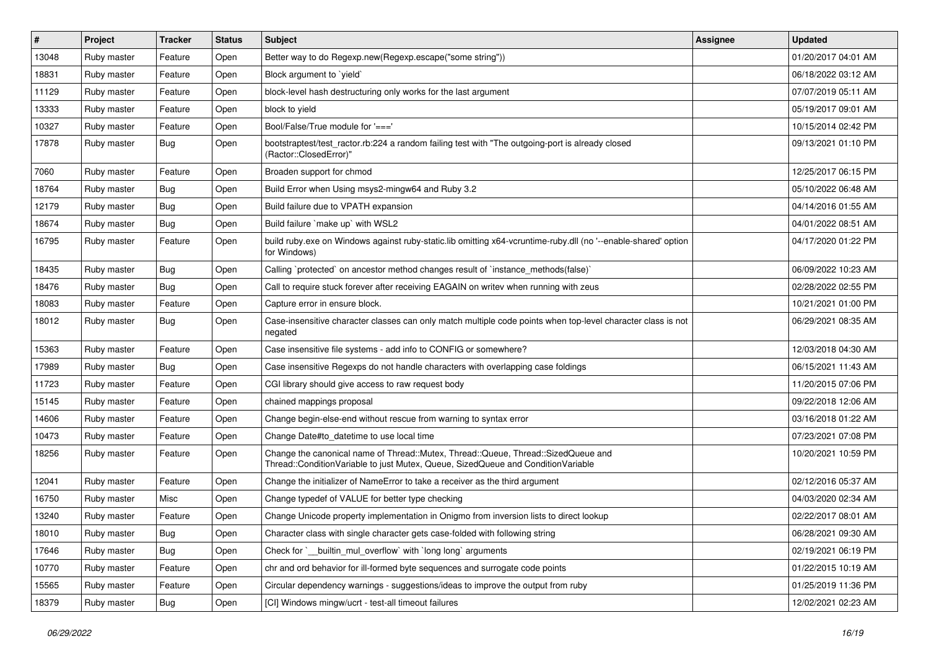| $\#$  | Project     | <b>Tracker</b> | <b>Status</b> | Subject                                                                                                                                                               | <b>Assignee</b> | <b>Updated</b>      |
|-------|-------------|----------------|---------------|-----------------------------------------------------------------------------------------------------------------------------------------------------------------------|-----------------|---------------------|
| 13048 | Ruby master | Feature        | Open          | Better way to do Regexp.new(Regexp.escape("some string"))                                                                                                             |                 | 01/20/2017 04:01 AM |
| 18831 | Ruby master | Feature        | Open          | Block argument to 'yield'                                                                                                                                             |                 | 06/18/2022 03:12 AM |
| 11129 | Ruby master | Feature        | Open          | block-level hash destructuring only works for the last argument                                                                                                       |                 | 07/07/2019 05:11 AM |
| 13333 | Ruby master | Feature        | Open          | block to vield                                                                                                                                                        |                 | 05/19/2017 09:01 AM |
| 10327 | Ruby master | Feature        | Open          | Bool/False/True module for '==='                                                                                                                                      |                 | 10/15/2014 02:42 PM |
| 17878 | Ruby master | Bug            | Open          | bootstraptest/test_ractor.rb:224 a random failing test with "The outgoing-port is already closed<br>(Ractor::ClosedError)"                                            |                 | 09/13/2021 01:10 PM |
| 7060  | Ruby master | Feature        | Open          | Broaden support for chmod                                                                                                                                             |                 | 12/25/2017 06:15 PM |
| 18764 | Ruby master | Bug            | Open          | Build Error when Using msys2-mingw64 and Ruby 3.2                                                                                                                     |                 | 05/10/2022 06:48 AM |
| 12179 | Ruby master | Bug            | Open          | Build failure due to VPATH expansion                                                                                                                                  |                 | 04/14/2016 01:55 AM |
| 18674 | Ruby master | Bug            | Open          | Build failure `make up` with WSL2                                                                                                                                     |                 | 04/01/2022 08:51 AM |
| 16795 | Ruby master | Feature        | Open          | build ruby exe on Windows against ruby-static.lib omitting x64-vcruntime-ruby.dll (no '--enable-shared' option<br>for Windows)                                        |                 | 04/17/2020 01:22 PM |
| 18435 | Ruby master | Bug            | Open          | Calling `protected` on ancestor method changes result of `instance_methods(false)`                                                                                    |                 | 06/09/2022 10:23 AM |
| 18476 | Ruby master | Bug            | Open          | Call to require stuck forever after receiving EAGAIN on writev when running with zeus                                                                                 |                 | 02/28/2022 02:55 PM |
| 18083 | Ruby master | Feature        | Open          | Capture error in ensure block.                                                                                                                                        |                 | 10/21/2021 01:00 PM |
| 18012 | Ruby master | Bug            | Open          | Case-insensitive character classes can only match multiple code points when top-level character class is not<br>negated                                               |                 | 06/29/2021 08:35 AM |
| 15363 | Ruby master | Feature        | Open          | Case insensitive file systems - add info to CONFIG or somewhere?                                                                                                      |                 | 12/03/2018 04:30 AM |
| 17989 | Ruby master | Bug            | Open          | Case insensitive Regexps do not handle characters with overlapping case foldings                                                                                      |                 | 06/15/2021 11:43 AM |
| 11723 | Ruby master | Feature        | Open          | CGI library should give access to raw request body                                                                                                                    |                 | 11/20/2015 07:06 PM |
| 15145 | Ruby master | Feature        | Open          | chained mappings proposal                                                                                                                                             |                 | 09/22/2018 12:06 AM |
| 14606 | Ruby master | Feature        | Open          | Change begin-else-end without rescue from warning to syntax error                                                                                                     |                 | 03/16/2018 01:22 AM |
| 10473 | Ruby master | Feature        | Open          | Change Date#to datetime to use local time                                                                                                                             |                 | 07/23/2021 07:08 PM |
| 18256 | Ruby master | Feature        | Open          | Change the canonical name of Thread::Mutex, Thread::Queue, Thread::SizedQueue and<br>Thread::ConditionVariable to just Mutex, Queue, SizedQueue and ConditionVariable |                 | 10/20/2021 10:59 PM |
| 12041 | Ruby master | Feature        | Open          | Change the initializer of NameError to take a receiver as the third argument                                                                                          |                 | 02/12/2016 05:37 AM |
| 16750 | Ruby master | Misc           | Open          | Change typedef of VALUE for better type checking                                                                                                                      |                 | 04/03/2020 02:34 AM |
| 13240 | Ruby master | Feature        | Open          | Change Unicode property implementation in Onigmo from inversion lists to direct lookup                                                                                |                 | 02/22/2017 08:01 AM |
| 18010 | Ruby master | <b>Bug</b>     | Open          | Character class with single character gets case-folded with following string                                                                                          |                 | 06/28/2021 09:30 AM |
| 17646 | Ruby master | <b>Bug</b>     | Open          | Check for ` builtin mul overflow with long long arguments                                                                                                             |                 | 02/19/2021 06:19 PM |
| 10770 | Ruby master | Feature        | Open          | chr and ord behavior for ill-formed byte sequences and surrogate code points                                                                                          |                 | 01/22/2015 10:19 AM |
| 15565 | Ruby master | Feature        | Open          | Circular dependency warnings - suggestions/ideas to improve the output from ruby                                                                                      |                 | 01/25/2019 11:36 PM |
| 18379 | Ruby master | Bug            | Open          | [CI] Windows mingw/ucrt - test-all timeout failures                                                                                                                   |                 | 12/02/2021 02:23 AM |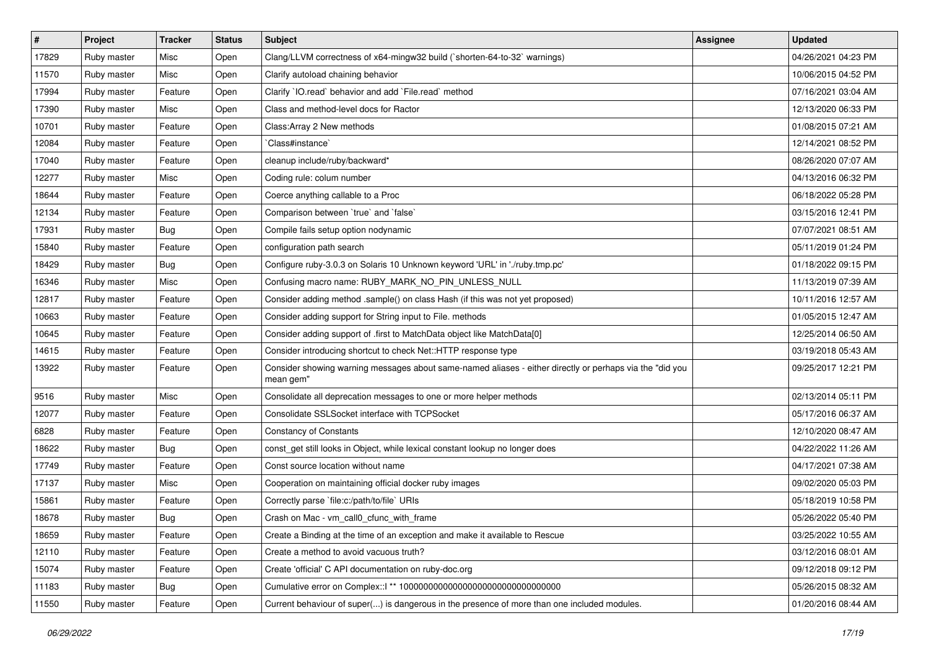| $\vert$ # | Project     | <b>Tracker</b> | <b>Status</b> | Subject                                                                                                               | <b>Assignee</b> | <b>Updated</b>      |
|-----------|-------------|----------------|---------------|-----------------------------------------------------------------------------------------------------------------------|-----------------|---------------------|
| 17829     | Ruby master | Misc           | Open          | Clang/LLVM correctness of x64-mingw32 build (`shorten-64-to-32` warnings)                                             |                 | 04/26/2021 04:23 PM |
| 11570     | Ruby master | Misc           | Open          | Clarify autoload chaining behavior                                                                                    |                 | 10/06/2015 04:52 PM |
| 17994     | Ruby master | Feature        | Open          | Clarify 'IO.read' behavior and add 'File.read' method                                                                 |                 | 07/16/2021 03:04 AM |
| 17390     | Ruby master | Misc           | Open          | Class and method-level docs for Ractor                                                                                |                 | 12/13/2020 06:33 PM |
| 10701     | Ruby master | Feature        | Open          | Class: Array 2 New methods                                                                                            |                 | 01/08/2015 07:21 AM |
| 12084     | Ruby master | Feature        | Open          | 'Class#instance'                                                                                                      |                 | 12/14/2021 08:52 PM |
| 17040     | Ruby master | Feature        | Open          | cleanup include/ruby/backward*                                                                                        |                 | 08/26/2020 07:07 AM |
| 12277     | Ruby master | Misc           | Open          | Coding rule: colum number                                                                                             |                 | 04/13/2016 06:32 PM |
| 18644     | Ruby master | Feature        | Open          | Coerce anything callable to a Proc                                                                                    |                 | 06/18/2022 05:28 PM |
| 12134     | Ruby master | Feature        | Open          | Comparison between 'true' and 'false'                                                                                 |                 | 03/15/2016 12:41 PM |
| 17931     | Ruby master | <b>Bug</b>     | Open          | Compile fails setup option nodynamic                                                                                  |                 | 07/07/2021 08:51 AM |
| 15840     | Ruby master | Feature        | Open          | configuration path search                                                                                             |                 | 05/11/2019 01:24 PM |
| 18429     | Ruby master | Bug            | Open          | Configure ruby-3.0.3 on Solaris 10 Unknown keyword 'URL' in './ruby.tmp.pc'                                           |                 | 01/18/2022 09:15 PM |
| 16346     | Ruby master | Misc           | Open          | Confusing macro name: RUBY_MARK_NO_PIN_UNLESS_NULL                                                                    |                 | 11/13/2019 07:39 AM |
| 12817     | Ruby master | Feature        | Open          | Consider adding method .sample() on class Hash (if this was not yet proposed)                                         |                 | 10/11/2016 12:57 AM |
| 10663     | Ruby master | Feature        | Open          | Consider adding support for String input to File. methods                                                             |                 | 01/05/2015 12:47 AM |
| 10645     | Ruby master | Feature        | Open          | Consider adding support of .first to MatchData object like MatchData[0]                                               |                 | 12/25/2014 06:50 AM |
| 14615     | Ruby master | Feature        | Open          | Consider introducing shortcut to check Net::HTTP response type                                                        |                 | 03/19/2018 05:43 AM |
| 13922     | Ruby master | Feature        | Open          | Consider showing warning messages about same-named aliases - either directly or perhaps via the "did you<br>mean gem" |                 | 09/25/2017 12:21 PM |
| 9516      | Ruby master | Misc           | Open          | Consolidate all deprecation messages to one or more helper methods                                                    |                 | 02/13/2014 05:11 PM |
| 12077     | Ruby master | Feature        | Open          | Consolidate SSLSocket interface with TCPSocket                                                                        |                 | 05/17/2016 06:37 AM |
| 6828      | Ruby master | Feature        | Open          | <b>Constancy of Constants</b>                                                                                         |                 | 12/10/2020 08:47 AM |
| 18622     | Ruby master | Bug            | Open          | const_get still looks in Object, while lexical constant lookup no longer does                                         |                 | 04/22/2022 11:26 AM |
| 17749     | Ruby master | Feature        | Open          | Const source location without name                                                                                    |                 | 04/17/2021 07:38 AM |
| 17137     | Ruby master | Misc           | Open          | Cooperation on maintaining official docker ruby images                                                                |                 | 09/02/2020 05:03 PM |
| 15861     | Ruby master | Feature        | Open          | Correctly parse `file:c:/path/to/file` URIs                                                                           |                 | 05/18/2019 10:58 PM |
| 18678     | Ruby master | Bug            | Open          | Crash on Mac - vm_call0_cfunc_with_frame                                                                              |                 | 05/26/2022 05:40 PM |
| 18659     | Ruby master | Feature        | Open          | Create a Binding at the time of an exception and make it available to Rescue                                          |                 | 03/25/2022 10:55 AM |
| 12110     | Ruby master | Feature        | Open          | Create a method to avoid vacuous truth?                                                                               |                 | 03/12/2016 08:01 AM |
| 15074     | Ruby master | Feature        | Open          | Create 'official' C API documentation on ruby-doc.org                                                                 |                 | 09/12/2018 09:12 PM |
| 11183     | Ruby master | Bug            | Open          |                                                                                                                       |                 | 05/26/2015 08:32 AM |
| 11550     | Ruby master | Feature        | Open          | Current behaviour of super() is dangerous in the presence of more than one included modules.                          |                 | 01/20/2016 08:44 AM |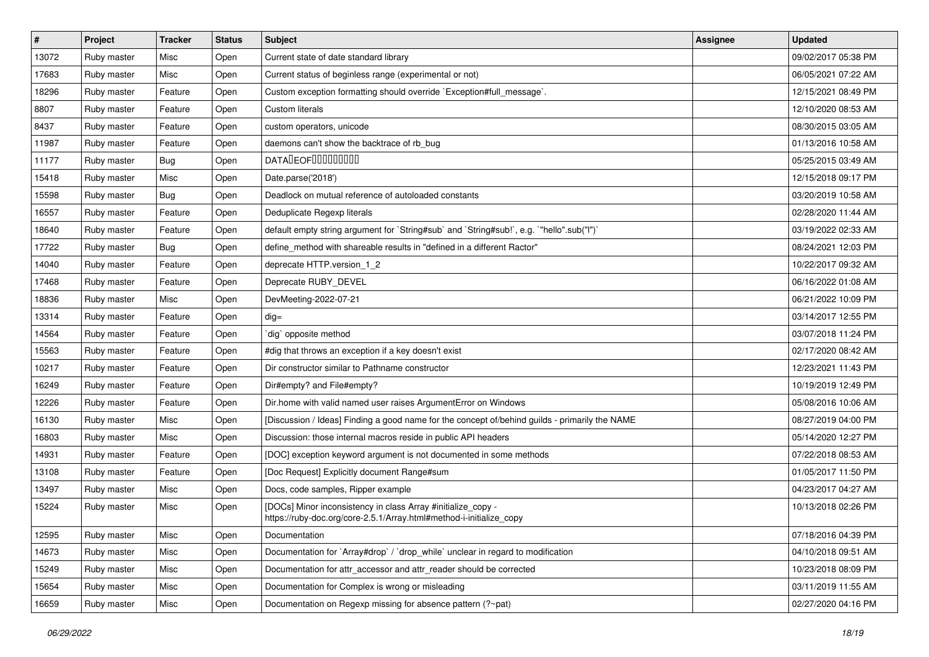| $\vert$ # | Project     | <b>Tracker</b> | <b>Status</b> | Subject                                                                                                                             | <b>Assignee</b> | <b>Updated</b>      |
|-----------|-------------|----------------|---------------|-------------------------------------------------------------------------------------------------------------------------------------|-----------------|---------------------|
| 13072     | Ruby master | Misc           | Open          | Current state of date standard library                                                                                              |                 | 09/02/2017 05:38 PM |
| 17683     | Ruby master | Misc           | Open          | Current status of beginless range (experimental or not)                                                                             |                 | 06/05/2021 07:22 AM |
| 18296     | Ruby master | Feature        | Open          | Custom exception formatting should override `Exception#full_message`.                                                               |                 | 12/15/2021 08:49 PM |
| 8807      | Ruby master | Feature        | Open          | Custom literals                                                                                                                     |                 | 12/10/2020 08:53 AM |
| 8437      | Ruby master | Feature        | Open          | custom operators, unicode                                                                                                           |                 | 08/30/2015 03:05 AM |
| 11987     | Ruby master | Feature        | Open          | daemons can't show the backtrace of rb_bug                                                                                          |                 | 01/13/2016 10:58 AM |
| 11177     | Ruby master | Bug            | Open          | <b>DATADEOFOOOOOOOO</b>                                                                                                             |                 | 05/25/2015 03:49 AM |
| 15418     | Ruby master | Misc           | Open          | Date.parse('2018')                                                                                                                  |                 | 12/15/2018 09:17 PM |
| 15598     | Ruby master | <b>Bug</b>     | Open          | Deadlock on mutual reference of autoloaded constants                                                                                |                 | 03/20/2019 10:58 AM |
| 16557     | Ruby master | Feature        | Open          | Deduplicate Regexp literals                                                                                                         |                 | 02/28/2020 11:44 AM |
| 18640     | Ruby master | Feature        | Open          | default empty string argument for `String#sub` and `String#sub!`, e.g. `"hello".sub("I")`                                           |                 | 03/19/2022 02:33 AM |
| 17722     | Ruby master | Bug            | Open          | define_method with shareable results in "defined in a different Ractor"                                                             |                 | 08/24/2021 12:03 PM |
| 14040     | Ruby master | Feature        | Open          | deprecate HTTP.version_1_2                                                                                                          |                 | 10/22/2017 09:32 AM |
| 17468     | Ruby master | Feature        | Open          | Deprecate RUBY DEVEL                                                                                                                |                 | 06/16/2022 01:08 AM |
| 18836     | Ruby master | Misc           | Open          | DevMeeting-2022-07-21                                                                                                               |                 | 06/21/2022 10:09 PM |
| 13314     | Ruby master | Feature        | Open          | $dig =$                                                                                                                             |                 | 03/14/2017 12:55 PM |
| 14564     | Ruby master | Feature        | Open          | dig opposite method                                                                                                                 |                 | 03/07/2018 11:24 PM |
| 15563     | Ruby master | Feature        | Open          | #dig that throws an exception if a key doesn't exist                                                                                |                 | 02/17/2020 08:42 AM |
| 10217     | Ruby master | Feature        | Open          | Dir constructor similar to Pathname constructor                                                                                     |                 | 12/23/2021 11:43 PM |
| 16249     | Ruby master | Feature        | Open          | Dir#empty? and File#empty?                                                                                                          |                 | 10/19/2019 12:49 PM |
| 12226     | Ruby master | Feature        | Open          | Dir.home with valid named user raises ArgumentError on Windows                                                                      |                 | 05/08/2016 10:06 AM |
| 16130     | Ruby master | Misc           | Open          | [Discussion / Ideas] Finding a good name for the concept of/behind guilds - primarily the NAME                                      |                 | 08/27/2019 04:00 PM |
| 16803     | Ruby master | Misc           | Open          | Discussion: those internal macros reside in public API headers                                                                      |                 | 05/14/2020 12:27 PM |
| 14931     | Ruby master | Feature        | Open          | [DOC] exception keyword argument is not documented in some methods                                                                  |                 | 07/22/2018 08:53 AM |
| 13108     | Ruby master | Feature        | Open          | [Doc Request] Explicitly document Range#sum                                                                                         |                 | 01/05/2017 11:50 PM |
| 13497     | Ruby master | Misc           | Open          | Docs, code samples, Ripper example                                                                                                  |                 | 04/23/2017 04:27 AM |
| 15224     | Ruby master | Misc           | Open          | [DOCs] Minor inconsistency in class Array #initialize_copy -<br>https://ruby-doc.org/core-2.5.1/Array.html#method-i-initialize_copy |                 | 10/13/2018 02:26 PM |
| 12595     | Ruby master | Misc           | Open          | Documentation                                                                                                                       |                 | 07/18/2016 04:39 PM |
| 14673     | Ruby master | Misc           | Open          | Documentation for `Array#drop` / `drop_while` unclear in regard to modification                                                     |                 | 04/10/2018 09:51 AM |
| 15249     | Ruby master | Misc           | Open          | Documentation for attr_accessor and attr_reader should be corrected                                                                 |                 | 10/23/2018 08:09 PM |
| 15654     | Ruby master | Misc           | Open          | Documentation for Complex is wrong or misleading                                                                                    |                 | 03/11/2019 11:55 AM |
| 16659     | Ruby master | Misc           | Open          | Documentation on Regexp missing for absence pattern (?~pat)                                                                         |                 | 02/27/2020 04:16 PM |